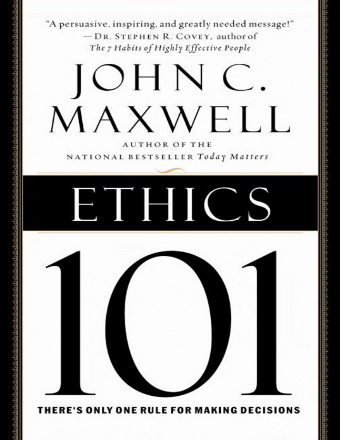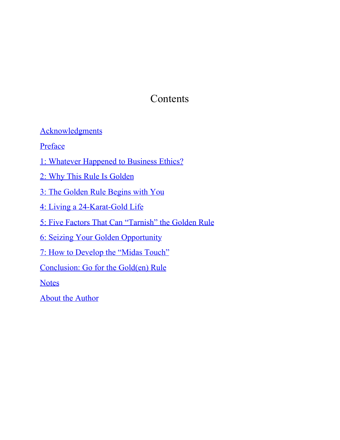# Contents

<span id="page-1-0"></span>[Acknowledgments](#page-3-0)

<span id="page-1-1"></span>**[Preface](#page-4-0)** 

- <span id="page-1-2"></span>1: Whatever [Happened](#page-5-0) to Business Ethics?
- <span id="page-1-3"></span>2: Why This Rule Is [Golden](#page-14-0)
- <span id="page-1-4"></span>3: The [Golden](#page-23-0) Rule Begins with You
- <span id="page-1-5"></span>4: Living a [24-Karat-Gold](#page-32-0) Life
- 5: Five Factors That Can ["Tarnish"](#page-42-0) the Golden Rule
- 6: Seizing Your Golden [Opportunity](#page-53-0)
- 7: How to [Develop](#page-62-0) the "Midas Touch"

[Conclusion:](#page-73-0) Go for the Gold(en) Rule

**[Notes](#page-77-0)** 

About the [Author](#page-83-0)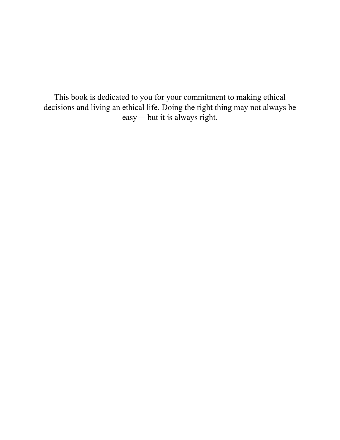This book is dedicated to you for your commitment to making ethical decisions and living an ethical life. Doing the right thing may not always be easy— but it is always right.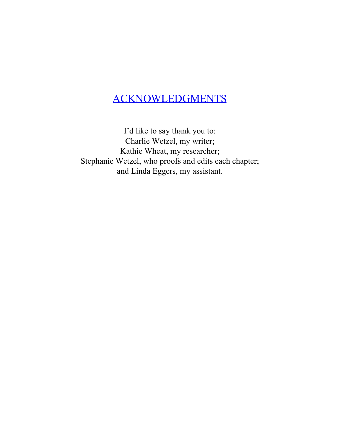# <span id="page-3-0"></span>**[ACKNOWLEDGMENTS](#page-1-0)**

I'd like to say thank you to: Charlie Wetzel, my writer; Kathie Wheat, my researcher; Stephanie Wetzel, who proofs and edits each chapter; and Linda Eggers, my assistant.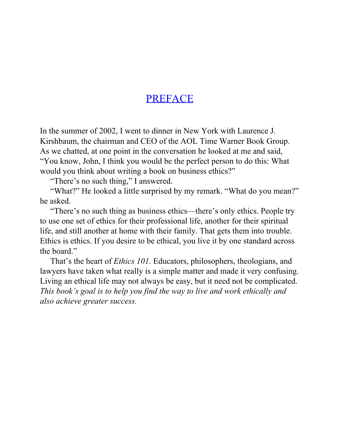# [PREFACE](#page-1-1)

<span id="page-4-0"></span>In the summer of 2002, I went to dinner in New York with Laurence J. Kirshbaum, the chairman and CEO of the AOL Time Warner Book Group. As we chatted, at one point in the conversation he looked at me and said, "You know, John, I think you would be the perfect person to do this: What would you think about writing a book on business ethics?"

"There's no such thing," I answered.

"What?" He looked a little surprised by my remark. "What do you mean?" he asked.

"There's no such thing as business ethics—there's only ethics. People try to use one set of ethics for their professional life, another for their spiritual life, and still another at home with their family. That gets them into trouble. Ethics is ethics. If you desire to be ethical, you live it by one standard across the board."

That's the heart of *Ethics 101.* Educators, philosophers, theologians, and lawyers have taken what really is a simple matter and made it very confusing. Living an ethical life may not always be easy, but it need not be complicated. *This book's goal is to help you find the way to live and work ethically and also achieve greater success.*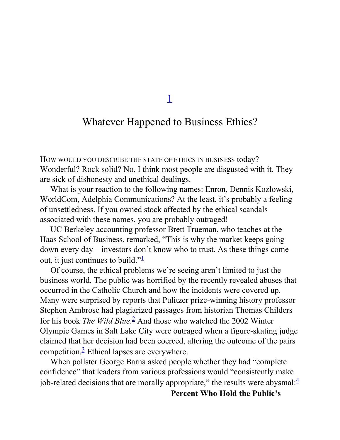[1](#page-1-2)

# <span id="page-5-0"></span>Whatever Happened to Business Ethics?

HOW WOULD YOU DESCRIBE THE STATE OF ETHICS IN BUSINESS today? Wonderful? Rock solid? No, I think most people are disgusted with it. They are sick of dishonesty and unethical dealings.

What is your reaction to the following names: Enron, Dennis Kozlowski, WorldCom, Adelphia Communications? At the least, it's probably a feeling of unsettledness. If you owned stock affected by the ethical scandals associated with these names, you are probably outraged!

UC Berkeley accounting professor Brett Trueman, who teaches at the Haas School of Business, remarked, "This is why the market keeps going down every day—investors don't know who to trust. As these things come out, it just continues to build." $\frac{1}{2}$  $\frac{1}{2}$  $\frac{1}{2}$ 

Of course, the ethical problems we're seeing aren't limited to just the business world. The public was horrified by the recently revealed abuses that occurred in the Catholic Church and how the incidents were covered up. Many were surprised by reports that Pulitzer prize-winning history professor Stephen Ambrose had plagiarized passages from historian Thomas Childers for his book *The Wild Blue*. [2](#page-77-2) And those who watched the 2002 Winter Olympic Games in Salt Lake City were outraged when a figure-skating judge claimed that her decision had been coerced, altering the outcome of the pairs competition.<sup>[3](#page-77-3)</sup> Ethical lapses are everywhere.

When pollster George Barna asked people whether they had "complete confidence" that leaders from various professions would "consistently make job-related decisions that are morally appropriate," the results were abysmal: $\frac{4}{3}$  $\frac{4}{3}$  $\frac{4}{3}$ 

**Percent Who Hold the Public's**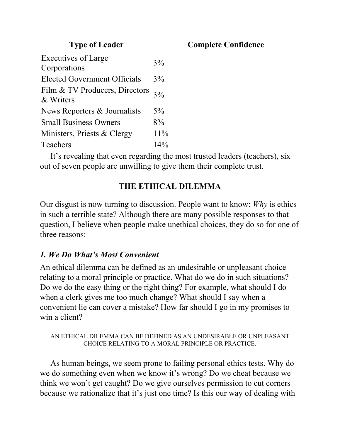**Type of Leader Complete Confidence**

| <b>Executives of Large</b>                  | 3%    |
|---------------------------------------------|-------|
| Corporations                                |       |
| <b>Elected Government Officials</b>         | 3%    |
| Film & TV Producers, Directors<br>& Writers | 3%    |
| News Reporters & Journalists                | $5\%$ |
| <b>Small Business Owners</b>                | 8%    |
| Ministers, Priests & Clergy                 | 11%   |
| Teachers                                    | 14%   |

It's revealing that even regarding the most trusted leaders (teachers), six out of seven people are unwilling to give them their complete trust.

## **THE ETHICAL DILEMMA**

Our disgust is now turning to discussion. People want to know: *Why* is ethics in such a terrible state? Although there are many possible responses to that question, I believe when people make unethical choices, they do so for one of three reasons:

## *1. We Do What's Most Convenient*

An ethical dilemma can be defined as an undesirable or unpleasant choice relating to a moral principle or practice. What do we do in such situations? Do we do the easy thing or the right thing? For example, what should I do when a clerk gives me too much change? What should I say when a convenient lie can cover a mistake? How far should I go in my promises to win a client?

AN ETHICAL DILEMMA CAN BE DEFINED AS AN UNDESIRABLE OR UNPLEASANT CHOICE RELATING TO A MORAL PRINCIPLE OR PRACTICE.

As human beings, we seem prone to failing personal ethics tests. Why do we do something even when we know it's wrong? Do we cheat because we think we won't get caught? Do we give ourselves permission to cut corners because we rationalize that it's just one time? Is this our way of dealing with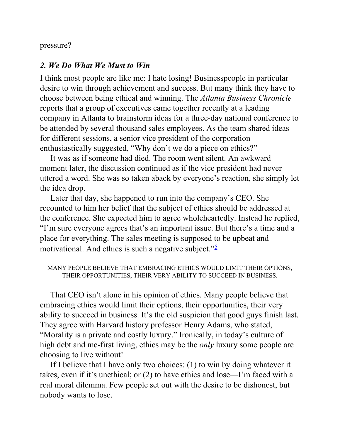pressure?

## *2. We Do What We Must to Win*

I think most people are like me: I hate losing! Businesspeople in particular desire to win through achievement and success. But many think they have to choose between being ethical and winning. The *Atlanta Business Chronicle* reports that a group of executives came together recently at a leading company in Atlanta to brainstorm ideas for a three-day national conference to be attended by several thousand sales employees. As the team shared ideas for different sessions, a senior vice president of the corporation enthusiastically suggested, "Why don't we do a piece on ethics?"

It was as if someone had died. The room went silent. An awkward moment later, the discussion continued as if the vice president had never uttered a word. She was so taken aback by everyone's reaction, she simply let the idea drop.

Later that day, she happened to run into the company's CEO. She recounted to him her belief that the subject of ethics should be addressed at the conference. She expected him to agree wholeheartedly. Instead he replied, "I'm sure everyone agrees that's an important issue. But there's a time and a place for everything. The sales meeting is supposed to be upbeat and motivational. And ethics is such a negative subject." $\frac{5}{2}$  $\frac{5}{2}$  $\frac{5}{2}$ 

#### MANY PEOPLE BELIEVE THAT EMBRACING ETHICS WOULD LIMIT THEIR OPTIONS, THEIR OPPORTUNITIES, THEIR VERY ABILITY TO SUCCEED IN BUSINESS.

That CEO isn't alone in his opinion of ethics. Many people believe that embracing ethics would limit their options, their opportunities, their very ability to succeed in business. It's the old suspicion that good guys finish last. They agree with Harvard history professor Henry Adams, who stated, "Morality is a private and costly luxury." Ironically, in today's culture of high debt and me-first living, ethics may be the *only* luxury some people are choosing to live without!

If I believe that I have only two choices: (1) to win by doing whatever it takes, even if it's unethical; or (2) to have ethics and lose—I'm faced with a real moral dilemma. Few people set out with the desire to be dishonest, but nobody wants to lose.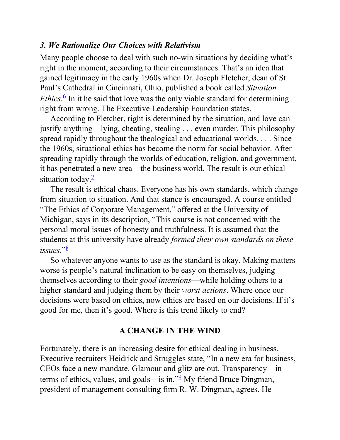#### *3. We Rationalize Our Choices with Relativism*

Many people choose to deal with such no-win situations by deciding what's right in the moment, according to their circumstances. That's an idea that gained legitimacy in the early 1960s when Dr. Joseph Fletcher, dean of St. Paul's Cathedral in Cincinnati, Ohio, published a book called *Situation Ethics*.<sup>[6](#page-77-6)</sup> In it he said that love was the only viable standard for determining right from wrong. The Executive Leadership Foundation states,

According to Fletcher, right is determined by the situation, and love can justify anything—lying, cheating, stealing . . . even murder. This philosophy spread rapidly throughout the theological and educational worlds. . . . Since the 1960s, situational ethics has become the norm for social behavior. After spreading rapidly through the worlds of education, religion, and government, it has penetrated a new area—the business world. The result is our ethical situation today.<sup>[7](#page-77-7)</sup>

The result is ethical chaos. Everyone has his own standards, which change from situation to situation. And that stance is encouraged. A course entitled "The Ethics of Corporate Management," offered at the University of Michigan, says in its description, "This course is not concerned with the personal moral issues of honesty and truthfulness. It is assumed that the students at this university have already *formed their own standards on these issues*." [8](#page-77-8)

So whatever anyone wants to use as the standard is okay. Making matters worse is people's natural inclination to be easy on themselves, judging themselves according to their *good intentions*—while holding others to a higher standard and judging them by their *worst actions*. Where once our decisions were based on ethics, now ethics are based on our decisions. If it's good for me, then it's good. Where is this trend likely to end?

#### **A CHANGE IN THE WIND**

Fortunately, there is an increasing desire for ethical dealing in business. Executive recruiters Heidrick and Struggles state, "In a new era for business, CEOs face a new mandate. Glamour and glitz are out. Transparency—in terms of ethics, values, and goals—is in."<sup>2</sup> My friend Bruce Dingman, president of management consulting firm R. W. Dingman, agrees. He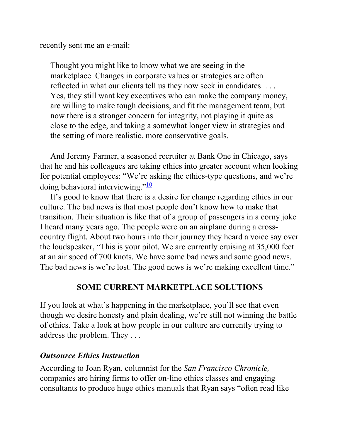recently sent me an e-mail:

Thought you might like to know what we are seeing in the marketplace. Changes in corporate values or strategies are often reflected in what our clients tell us they now seek in candidates. . . . Yes, they still want key executives who can make the company money, are willing to make tough decisions, and fit the management team, but now there is a stronger concern for integrity, not playing it quite as close to the edge, and taking a somewhat longer view in strategies and the setting of more realistic, more conservative goals.

And Jeremy Farmer, a seasoned recruiter at Bank One in Chicago, says that he and his colleagues are taking ethics into greater account when looking for potential employees: "We're asking the ethics-type questions, and we're doing behavioral interviewing."<sup>[10](#page-77-10)</sup>

It's good to know that there is a desire for change regarding ethics in our culture. The bad news is that most people don't know how to make that transition. Their situation is like that of a group of passengers in a corny joke I heard many years ago. The people were on an airplane during a crosscountry flight. About two hours into their journey they heard a voice say over the loudspeaker, "This is your pilot. We are currently cruising at 35,000 feet at an air speed of 700 knots. We have some bad news and some good news. The bad news is we're lost. The good news is we're making excellent time."

## **SOME CURRENT MARKETPLACE SOLUTIONS**

If you look at what's happening in the marketplace, you'll see that even though we desire honesty and plain dealing, we're still not winning the battle of ethics. Take a look at how people in our culture are currently trying to address the problem. They . . .

#### *Outsource Ethics Instruction*

According to Joan Ryan, columnist for the *San Francisco Chronicle,* companies are hiring firms to offer on-line ethics classes and engaging consultants to produce huge ethics manuals that Ryan says "often read like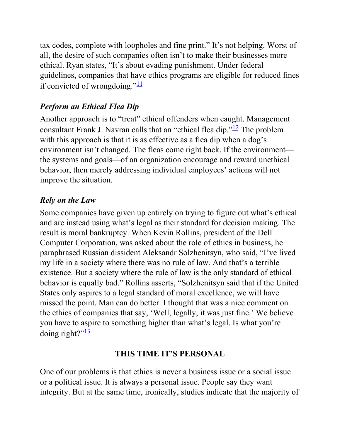tax codes, complete with loopholes and fine print." It's not helping. Worst of all, the desire of such companies often isn't to make their businesses more ethical. Ryan states, "It's about evading punishment. Under federal guidelines, companies that have ethics programs are eligible for reduced fines if convicted of wrongdoing."<sup>[11](#page-77-11)</sup>

# *Perform an Ethical Flea Dip*

Another approach is to "treat" ethical offenders when caught. Management consultant Frank J. Navran calls that an "ethical flea dip." $\frac{12}{2}$  $\frac{12}{2}$  $\frac{12}{2}$  The problem with this approach is that it is as effective as a flea dip when a dog's environment isn't changed. The fleas come right back. If the environment the systems and goals—of an organization encourage and reward unethical behavior, then merely addressing individual employees' actions will not improve the situation.

# *Rely on the Law*

Some companies have given up entirely on trying to figure out what's ethical and are instead using what's legal as their standard for decision making. The result is moral bankruptcy. When Kevin Rollins, president of the Dell Computer Corporation, was asked about the role of ethics in business, he paraphrased Russian dissident Aleksandr Solzhenitsyn, who said, "I've lived my life in a society where there was no rule of law. And that's a terrible existence. But a society where the rule of law is the only standard of ethical behavior is equally bad." Rollins asserts, "Solzhenitsyn said that if the United States only aspires to a legal standard of moral excellence, we will have missed the point. Man can do better. I thought that was a nice comment on the ethics of companies that say, 'Well, legally, it was just fine.' We believe you have to aspire to something higher than what's legal. Is what you're doing right?"<sup>[13](#page-78-0)</sup>

# **THIS TIME IT'S PERSONAL**

One of our problems is that ethics is never a business issue or a social issue or a political issue. It is always a personal issue. People say they want integrity. But at the same time, ironically, studies indicate that the majority of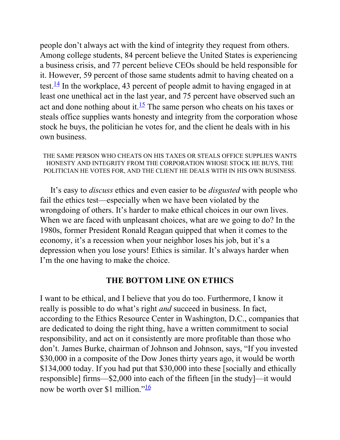people don't always act with the kind of integrity they request from others. Among college students, 84 percent believe the United States is experiencing a business crisis, and 77 percent believe CEOs should be held responsible for it. However, 59 percent of those same students admit to having cheated on a test.<sup>[14](#page-78-1)</sup> In the workplace, 43 percent of people admit to having engaged in at least one unethical act in the last year, and 75 percent have observed such an act and done nothing about it. $15$  The same person who cheats on his taxes or steals office supplies wants honesty and integrity from the corporation whose stock he buys, the politician he votes for, and the client he deals with in his own business.

THE SAME PERSON WHO CHEATS ON HIS TAXES OR STEALS OFFICE SUPPLIES WANTS HONESTY AND INTEGRITY FROM THE CORPORATION WHOSE STOCK HE BUYS, THE POLITICIAN HE VOTES FOR, AND THE CLIENT HE DEALS WITH IN HIS OWN BUSINESS.

It's easy to *discuss* ethics and even easier to be *disgusted* with people who fail the ethics test—especially when we have been violated by the wrongdoing of others. It's harder to make ethical choices in our own lives. When we are faced with unpleasant choices, what are we going to do? In the 1980s, former President Ronald Reagan quipped that when it comes to the economy, it's a recession when your neighbor loses his job, but it's a depression when you lose yours! Ethics is similar. It's always harder when I'm the one having to make the choice.

#### **THE BOTTOM LINE ON ETHICS**

I want to be ethical, and I believe that you do too. Furthermore, I know it really is possible to do what's right *and* succeed in business. In fact, according to the Ethics Resource Center in Washington, D.C., companies that are dedicated to doing the right thing, have a written commitment to social responsibility, and act on it consistently are more profitable than those who don't. James Burke, chairman of Johnson and Johnson, says, "If you invested \$30,000 in a composite of the Dow Jones thirty years ago, it would be worth \$134,000 today. If you had put that \$30,000 into these [socially and ethically responsible] firms—\$2,000 into each of the fifteen [in the study]—it would now be worth over \$1 million."<sup>[16](#page-78-3)</sup>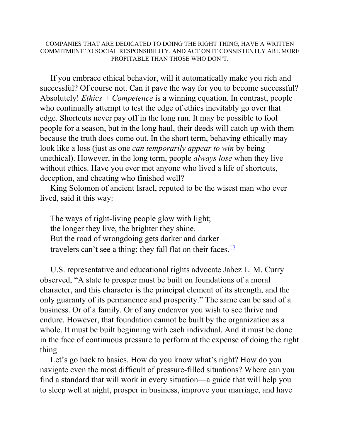#### COMPANIES THAT ARE DEDICATED TO DOING THE RIGHT THING, HAVE A WRITTEN COMMITMENT TO SOCIAL RESPONSIBILITY, AND ACT ON IT CONSISTENTLY ARE MORE PROFITABLE THAN THOSE WHO DON'T.

If you embrace ethical behavior, will it automatically make you rich and successful? Of course not. Can it pave the way for you to become successful? Absolutely! *Ethics + Competence* is a winning equation. In contrast, people who continually attempt to test the edge of ethics inevitably go over that edge. Shortcuts never pay off in the long run. It may be possible to fool people for a season, but in the long haul, their deeds will catch up with them because the truth does come out. In the short term, behaving ethically may look like a loss (just as one *can temporarily appear to win* by being unethical). However, in the long term, people *always lose* when they live without ethics. Have you ever met anyone who lived a life of shortcuts, deception, and cheating who finished well?

King Solomon of ancient Israel, reputed to be the wisest man who ever lived, said it this way:

The ways of right-living people glow with light; the longer they live, the brighter they shine. But the road of wrongdoing gets darker and darker travelers can't see a thing; they fall flat on their faces. $\frac{17}{1}$  $\frac{17}{1}$  $\frac{17}{1}$ 

U.S. representative and educational rights advocate Jabez L. M. Curry observed, "A state to prosper must be built on foundations of a moral character, and this character is the principal element of its strength, and the only guaranty of its permanence and prosperity." The same can be said of a business. Or of a family. Or of any endeavor you wish to see thrive and endure. However, that foundation cannot be built by the organization as a whole. It must be built beginning with each individual. And it must be done in the face of continuous pressure to perform at the expense of doing the right thing.

Let's go back to basics. How do you know what's right? How do you navigate even the most difficult of pressure-filled situations? Where can you find a standard that will work in every situation—a guide that will help you to sleep well at night, prosper in business, improve your marriage, and have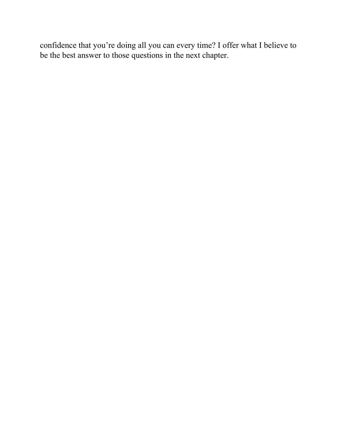confidence that you're doing all you can every time? I offer what I believe to be the best answer to those questions in the next chapter.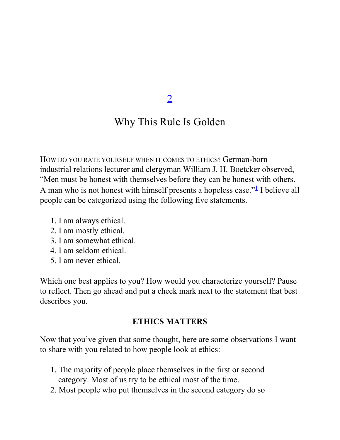[2](#page-1-3)

# Why This Rule Is Golden

<span id="page-14-0"></span>HOW DO YOU RATE YOURSELF WHEN IT COMES TO ETHICS? German-born industrial relations lecturer and clergyman William J. H. Boetcker observed, "Men must be honest with themselves before they can be honest with others. A man who is not honest with himself presents a hopeless case." $\frac{1}{1}$  $\frac{1}{1}$  $\frac{1}{1}$  I believe all people can be categorized using the following five statements.

- 1. I am always ethical.
- 2. I am mostly ethical.
- 3. I am somewhat ethical.
- 4. I am seldom ethical.
- 5. I am never ethical.

Which one best applies to you? How would you characterize yourself? Pause to reflect. Then go ahead and put a check mark next to the statement that best describes you.

## **ETHICS MATTERS**

Now that you've given that some thought, here are some observations I want to share with you related to how people look at ethics:

- 1. The majority of people place themselves in the first or second category. Most of us try to be ethical most of the time.
- 2. Most people who put themselves in the second category do so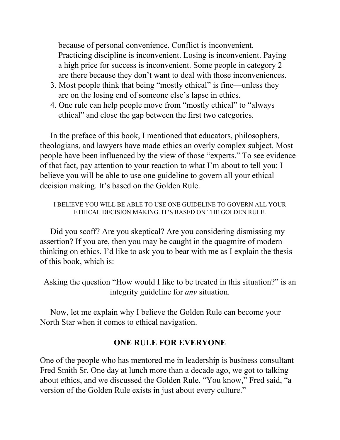because of personal convenience. Conflict is inconvenient. Practicing discipline is inconvenient. Losing is inconvenient. Paying a high price for success is inconvenient. Some people in category 2 are there because they don't want to deal with those inconveniences.

- 3. Most people think that being "mostly ethical" is fine—unless they are on the losing end of someone else's lapse in ethics.
- 4. One rule can help people move from "mostly ethical" to "always ethical" and close the gap between the first two categories.

In the preface of this book, I mentioned that educators, philosophers, theologians, and lawyers have made ethics an overly complex subject. Most people have been influenced by the view of those "experts." To see evidence of that fact, pay attention to your reaction to what I'm about to tell you: I believe you will be able to use one guideline to govern all your ethical decision making. It's based on the Golden Rule.

#### I BELIEVE YOU WILL BE ABLE TO USE ONE GUIDELINE TO GOVERN ALL YOUR ETHICAL DECISION MAKING. IT'S BASED ON THE GOLDEN RULE.

Did you scoff? Are you skeptical? Are you considering dismissing my assertion? If you are, then you may be caught in the quagmire of modern thinking on ethics. I'd like to ask you to bear with me as I explain the thesis of this book, which is:

Asking the question "How would I like to be treated in this situation?" is an integrity guideline for *any* situation.

Now, let me explain why I believe the Golden Rule can become your North Star when it comes to ethical navigation.

## **ONE RULE FOR EVERYONE**

One of the people who has mentored me in leadership is business consultant Fred Smith Sr. One day at lunch more than a decade ago, we got to talking about ethics, and we discussed the Golden Rule. "You know," Fred said, "a version of the Golden Rule exists in just about every culture."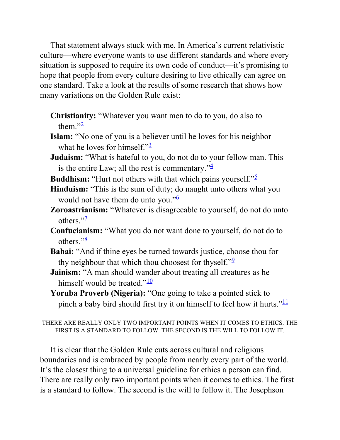That statement always stuck with me. In America's current relativistic culture—where everyone wants to use different standards and where every situation is supposed to require its own code of conduct—it's promising to hope that people from every culture desiring to live ethically can agree on one standard. Take a look at the results of some research that shows how many variations on the Golden Rule exist:

**Christianity:** "Whatever you want men to do to you, do also to them. $2^2$  $2^2$ 

- **Islam:** "No one of you is a believer until he loves for his neighbor what he loves for himself."<sup>[3](#page-78-7)</sup>
- **Judaism:** "What is hateful to you, do not do to your fellow man. This is the entire Law; all the rest is commentary." $\frac{4}{3}$  $\frac{4}{3}$  $\frac{4}{3}$
- **Buddhism:** "Hurt not others with that which pains yourself."<sup>[5](#page-78-9)</sup>
- **Hinduism:** "This is the sum of duty; do naught unto others what you would not have them do unto you."<sup>[6](#page-78-10)</sup>
- **Zoroastrianism:** "Whatever is disagreeable to yourself, do not do unto others."<sup>[7](#page-78-11)</sup>
- **Confucianism:** "What you do not want done to yourself, do not do to others."<sup>[8](#page-78-12)</sup>
- **Bahai:** "And if thine eyes be turned towards justice, choose thou for thy neighbour that which thou choosest for thyself." $\frac{1}{2}$
- **Jainism:** "A man should wander about treating all creatures as he himself would be treated."<sup>[10](#page-78-14)</sup>
- **Yoruba Proverb (Nigeria):** "One going to take a pointed stick to pinch a baby bird should first try it on himself to feel how it hurts." $\frac{11}{11}$  $\frac{11}{11}$  $\frac{11}{11}$

THERE ARE REALLY ONLY TWO IMPORTANT POINTS WHEN IT COMES TO ETHICS. THE FIRST IS A STANDARD TO FOLLOW. THE SECOND IS THE WILL TO FOLLOW IT.

It is clear that the Golden Rule cuts across cultural and religious boundaries and is embraced by people from nearly every part of the world. It's the closest thing to a universal guideline for ethics a person can find. There are really only two important points when it comes to ethics. The first is a standard to follow. The second is the will to follow it. The Josephson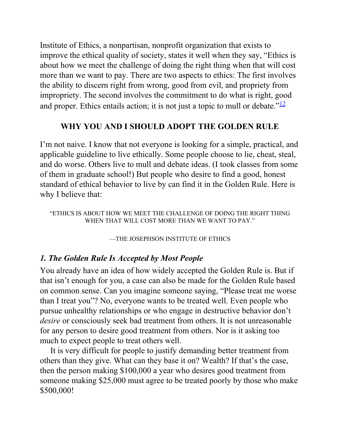Institute of Ethics, a nonpartisan, nonprofit organization that exists to improve the ethical quality of society, states it well when they say, "Ethics is about how we meet the challenge of doing the right thing when that will cost more than we want to pay. There are two aspects to ethics: The first involves the ability to discern right from wrong, good from evil, and propriety from impropriety. The second involves the commitment to do what is right, good and proper. Ethics entails action; it is not just a topic to mull or debate." $\frac{12}{2}$  $\frac{12}{2}$  $\frac{12}{2}$ 

# **WHY YOU AND I SHOULD ADOPT THE GOLDEN RULE**

I'm not naive. I know that not everyone is looking for a simple, practical, and applicable guideline to live ethically. Some people choose to lie, cheat, steal, and do worse. Others live to mull and debate ideas. (I took classes from some of them in graduate school!) But people who desire to find a good, honest standard of ethical behavior to live by can find it in the Golden Rule. Here is why I believe that:

"ETHICS IS ABOUT HOW WE MEET THE CHALLENGE OF DOING THE RIGHT THING WHEN THAT WILL COST MORE THAN WE WANT TO PAY."

—THE JOSEPHSON INSTITUTE OF ETHICS

## *1. The Golden Rule Is Accepted by Most People*

You already have an idea of how widely accepted the Golden Rule is. But if that isn't enough for you, a case can also be made for the Golden Rule based on common sense. Can you imagine someone saying, "Please treat me worse than I treat you"? No, everyone wants to be treated well. Even people who pursue unhealthy relationships or who engage in destructive behavior don't *desire* or consciously seek bad treatment from others. It is not unreasonable for any person to desire good treatment from others. Nor is it asking too much to expect people to treat others well.

It is very difficult for people to justify demanding better treatment from others than they give. What can they base it on? Wealth? If that's the case, then the person making \$100,000 a year who desires good treatment from someone making \$25,000 must agree to be treated poorly by those who make \$500,000!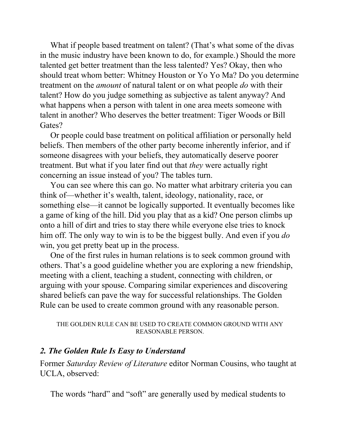What if people based treatment on talent? (That's what some of the divas in the music industry have been known to do, for example.) Should the more talented get better treatment than the less talented? Yes? Okay, then who should treat whom better: Whitney Houston or Yo Yo Ma? Do you determine treatment on the *amount* of natural talent or on what people *do* with their talent? How do you judge something as subjective as talent anyway? And what happens when a person with talent in one area meets someone with talent in another? Who deserves the better treatment: Tiger Woods or Bill Gates?

Or people could base treatment on political affiliation or personally held beliefs. Then members of the other party become inherently inferior, and if someone disagrees with your beliefs, they automatically deserve poorer treatment. But what if you later find out that *they* were actually right concerning an issue instead of you? The tables turn.

You can see where this can go. No matter what arbitrary criteria you can think of—whether it's wealth, talent, ideology, nationality, race, or something else—it cannot be logically supported. It eventually becomes like a game of king of the hill. Did you play that as a kid? One person climbs up onto a hill of dirt and tries to stay there while everyone else tries to knock him off. The only way to win is to be the biggest bully. And even if you *do* win, you get pretty beat up in the process.

One of the first rules in human relations is to seek common ground with others. That's a good guideline whether you are exploring a new friendship, meeting with a client, teaching a student, connecting with children, or arguing with your spouse. Comparing similar experiences and discovering shared beliefs can pave the way for successful relationships. The Golden Rule can be used to create common ground with any reasonable person.

THE GOLDEN RULE CAN BE USED TO CREATE COMMON GROUND WITH ANY REASONABLE PERSON.

#### *2. The Golden Rule Is Easy to Understand*

Former *Saturday Review of Literature* editor Norman Cousins, who taught at UCLA, observed:

The words "hard" and "soft" are generally used by medical students to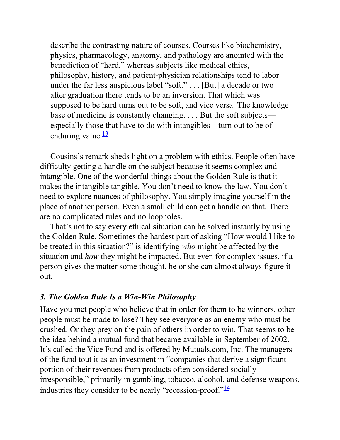describe the contrasting nature of courses. Courses like biochemistry, physics, pharmacology, anatomy, and pathology are anointed with the benediction of "hard," whereas subjects like medical ethics, philosophy, history, and patient-physician relationships tend to labor under the far less auspicious label "soft." . . . [But] a decade or two after graduation there tends to be an inversion. That which was supposed to be hard turns out to be soft, and vice versa. The knowledge base of medicine is constantly changing. . . . But the soft subjects especially those that have to do with intangibles—turn out to be of enduring value.<sup>[13](#page-78-17)</sup>

Cousins's remark sheds light on a problem with ethics. People often have difficulty getting a handle on the subject because it seems complex and intangible. One of the wonderful things about the Golden Rule is that it makes the intangible tangible. You don't need to know the law. You don't need to explore nuances of philosophy. You simply imagine yourself in the place of another person. Even a small child can get a handle on that. There are no complicated rules and no loopholes.

That's not to say every ethical situation can be solved instantly by using the Golden Rule. Sometimes the hardest part of asking "How would I like to be treated in this situation?" is identifying *who* might be affected by the situation and *how* they might be impacted. But even for complex issues, if a person gives the matter some thought, he or she can almost always figure it out.

## *3. The Golden Rule Is a Win-Win Philosophy*

Have you met people who believe that in order for them to be winners, other people must be made to lose? They see everyone as an enemy who must be crushed. Or they prey on the pain of others in order to win. That seems to be the idea behind a mutual fund that became available in September of 2002. It's called the Vice Fund and is offered by Mutuals.com, Inc. The managers of the fund tout it as an investment in "companies that derive a significant portion of their revenues from products often considered socially irresponsible," primarily in gambling, tobacco, alcohol, and defense weapons, industries they consider to be nearly "recession-proof."<sup>[14](#page-78-18)</sup>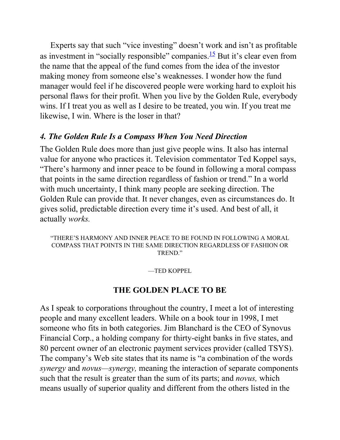Experts say that such "vice investing" doesn't work and isn't as profitable as investment in "socially responsible" companies.<sup>[15](#page-78-19)</sup> But it's clear even from the name that the appeal of the fund comes from the idea of the investor making money from someone else's weaknesses. I wonder how the fund manager would feel if he discovered people were working hard to exploit his personal flaws for their profit. When you live by the Golden Rule, everybody wins. If I treat you as well as I desire to be treated, you win. If you treat me likewise, I win. Where is the loser in that?

#### *4. The Golden Rule Is a Compass When You Need Direction*

The Golden Rule does more than just give people wins. It also has internal value for anyone who practices it. Television commentator Ted Koppel says, "There's harmony and inner peace to be found in following a moral compass that points in the same direction regardless of fashion or trend." In a world with much uncertainty, I think many people are seeking direction. The Golden Rule can provide that. It never changes, even as circumstances do. It gives solid, predictable direction every time it's used. And best of all, it actually *works.*

#### "THERE'S HARMONY AND INNER PEACE TO BE FOUND IN FOLLOWING A MORAL COMPASS THAT POINTS IN THE SAME DIRECTION REGARDLESS OF FASHION OR TREND."

#### —TED KOPPEL

#### **THE GOLDEN PLACE TO BE**

As I speak to corporations throughout the country, I meet a lot of interesting people and many excellent leaders. While on a book tour in 1998, I met someone who fits in both categories. Jim Blanchard is the CEO of Synovus Financial Corp., a holding company for thirty-eight banks in five states, and 80 percent owner of an electronic payment services provider (called TSYS). The company's Web site states that its name is "a combination of the words *synergy* and *novus—synergy,* meaning the interaction of separate components such that the result is greater than the sum of its parts; and *novus,* which means usually of superior quality and different from the others listed in the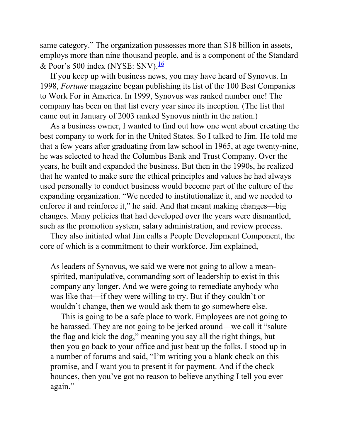same category." The organization possesses more than \$18 billion in assets, employs more than nine thousand people, and is a component of the Standard & Poor's 500 index (NYSE: SNV).<sup>[16](#page-79-0)</sup>

If you keep up with business news, you may have heard of Synovus. In 1998, *Fortune* magazine began publishing its list of the 100 Best Companies to Work For in America. In 1999, Synovus was ranked number one! The company has been on that list every year since its inception. (The list that came out in January of 2003 ranked Synovus ninth in the nation.)

As a business owner, I wanted to find out how one went about creating the best company to work for in the United States. So I talked to Jim. He told me that a few years after graduating from law school in 1965, at age twenty-nine, he was selected to head the Columbus Bank and Trust Company. Over the years, he built and expanded the business. But then in the 1990s, he realized that he wanted to make sure the ethical principles and values he had always used personally to conduct business would become part of the culture of the expanding organization. "We needed to institutionalize it, and we needed to enforce it and reinforce it," he said. And that meant making changes—big changes. Many policies that had developed over the years were dismantled, such as the promotion system, salary administration, and review process.

They also initiated what Jim calls a People Development Component, the core of which is a commitment to their workforce. Jim explained,

As leaders of Synovus, we said we were not going to allow a meanspirited, manipulative, commanding sort of leadership to exist in this company any longer. And we were going to remediate anybody who was like that—if they were willing to try. But if they couldn't or wouldn't change, then we would ask them to go somewhere else.

This is going to be a safe place to work. Employees are not going to be harassed. They are not going to be jerked around—we call it "salute the flag and kick the dog," meaning you say all the right things, but then you go back to your office and just beat up the folks. I stood up in a number of forums and said, "I'm writing you a blank check on this promise, and I want you to present it for payment. And if the check bounces, then you've got no reason to believe anything I tell you ever again."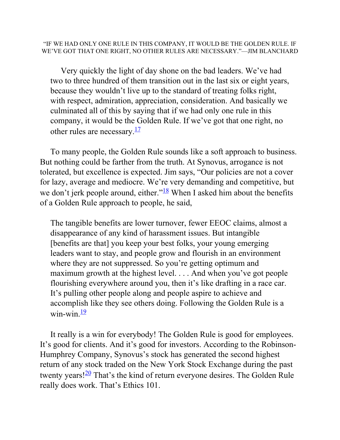#### "IF WE HAD ONLY ONE RULE IN THIS COMPANY, IT WOULD BE THE GOLDEN RULE. IF WE'VE GOT THAT ONE RIGHT, NO OTHER RULES ARE NECESSARY."—JIM BLANCHARD

Very quickly the light of day shone on the bad leaders. We've had two to three hundred of them transition out in the last six or eight years, because they wouldn't live up to the standard of treating folks right, with respect, admiration, appreciation, consideration. And basically we culminated all of this by saying that if we had only one rule in this company, it would be the Golden Rule. If we've got that one right, no other rules are necessary.<sup>[17](#page-79-1)</sup>

To many people, the Golden Rule sounds like a soft approach to business. But nothing could be farther from the truth. At Synovus, arrogance is not tolerated, but excellence is expected. Jim says, "Our policies are not a cover for lazy, average and mediocre. We're very demanding and competitive, but we don't jerk people around, either."<sup>[18](#page-79-2)</sup> When I asked him about the benefits of a Golden Rule approach to people, he said,

The tangible benefits are lower turnover, fewer EEOC claims, almost a disappearance of any kind of harassment issues. But intangible [benefits are that] you keep your best folks, your young emerging leaders want to stay, and people grow and flourish in an environment where they are not suppressed. So you're getting optimum and maximum growth at the highest level. . . . And when you've got people flourishing everywhere around you, then it's like drafting in a race car. It's pulling other people along and people aspire to achieve and accomplish like they see others doing. Following the Golden Rule is a win-win.<sup>[19](#page-79-3)</sup>

It really is a win for everybody! The Golden Rule is good for employees. It's good for clients. And it's good for investors. According to the Robinson-Humphrey Company, Synovus's stock has generated the second highest return of any stock traded on the New York Stock Exchange during the past twenty years!<sup>[20](#page-79-4)</sup> That's the kind of return everyone desires. The Golden Rule really does work. That's Ethics 101.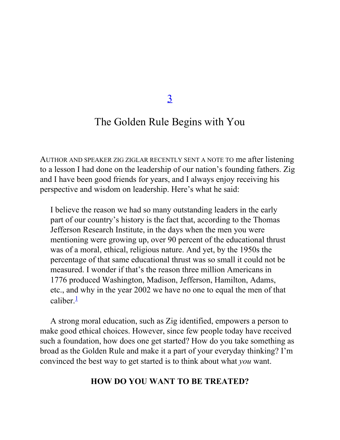[3](#page-1-4)

# <span id="page-23-0"></span>The Golden Rule Begins with You

AUTHOR AND SPEAKER ZIG ZIGLAR RECENTLY SENT A NOTE TO me after listening to a lesson I had done on the leadership of our nation's founding fathers. Zig and I have been good friends for years, and I always enjoy receiving his perspective and wisdom on leadership. Here's what he said:

I believe the reason we had so many outstanding leaders in the early part of our country's history is the fact that, according to the Thomas Jefferson Research Institute, in the days when the men you were mentioning were growing up, over 90 percent of the educational thrust was of a moral, ethical, religious nature. And yet, by the 1950s the percentage of that same educational thrust was so small it could not be measured. I wonder if that's the reason three million Americans in 1776 produced Washington, Madison, Jefferson, Hamilton, Adams, etc., and why in the year 2002 we have no one to equal the men of that caliber.<sup>[1](#page-79-5)</sup>

A strong moral education, such as Zig identified, empowers a person to make good ethical choices. However, since few people today have received such a foundation, how does one get started? How do you take something as broad as the Golden Rule and make it a part of your everyday thinking? I'm convinced the best way to get started is to think about what *you* want.

#### **HOW DO YOU WANT TO BE TREATED?**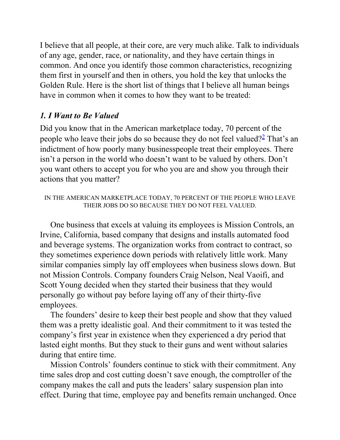I believe that all people, at their core, are very much alike. Talk to individuals of any age, gender, race, or nationality, and they have certain things in common. And once you identify those common characteristics, recognizing them first in yourself and then in others, you hold the key that unlocks the Golden Rule. Here is the short list of things that I believe all human beings have in common when it comes to how they want to be treated:

## *1. I Want to Be Valued*

Did you know that in the American marketplace today, 70 percent of the people who leave their jobs do so because they do not feel valued?<sup>[2](#page-79-6)</sup> That's an indictment of how poorly many businesspeople treat their employees. There isn't a person in the world who doesn't want to be valued by others. Don't you want others to accept you for who you are and show you through their actions that you matter?

IN THE AMERICAN MARKETPLACE TODAY, 70 PERCENT OF THE PEOPLE WHO LEAVE THEIR JOBS DO SO BECAUSE THEY DO NOT FEEL VALUED.

One business that excels at valuing its employees is Mission Controls, an Irvine, California, based company that designs and installs automated food and beverage systems. The organization works from contract to contract, so they sometimes experience down periods with relatively little work. Many similar companies simply lay off employees when business slows down. But not Mission Controls. Company founders Craig Nelson, Neal Vaoifi, and Scott Young decided when they started their business that they would personally go without pay before laying off any of their thirty-five employees.

The founders' desire to keep their best people and show that they valued them was a pretty idealistic goal. And their commitment to it was tested the company's first year in existence when they experienced a dry period that lasted eight months. But they stuck to their guns and went without salaries during that entire time.

Mission Controls' founders continue to stick with their commitment. Any time sales drop and cost cutting doesn't save enough, the comptroller of the company makes the call and puts the leaders' salary suspension plan into effect. During that time, employee pay and benefits remain unchanged. Once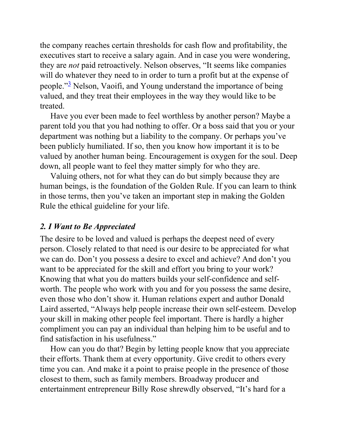the company reaches certain thresholds for cash flow and profitability, the executives start to receive a salary again. And in case you were wondering, they are *not* paid retroactively. Nelson observes, "It seems like companies will do whatever they need to in order to turn a profit but at the expense of people."<sup>[3](#page-79-7)</sup> Nelson, Vaoifi, and Young understand the importance of being valued, and they treat their employees in the way they would like to be treated.

Have you ever been made to feel worthless by another person? Maybe a parent told you that you had nothing to offer. Or a boss said that you or your department was nothing but a liability to the company. Or perhaps you've been publicly humiliated. If so, then you know how important it is to be valued by another human being. Encouragement is oxygen for the soul. Deep down, all people want to feel they matter simply for who they are.

Valuing others, not for what they can do but simply because they are human beings, is the foundation of the Golden Rule. If you can learn to think in those terms, then you've taken an important step in making the Golden Rule the ethical guideline for your life.

#### *2. I Want to Be Appreciated*

The desire to be loved and valued is perhaps the deepest need of every person. Closely related to that need is our desire to be appreciated for what we can do. Don't you possess a desire to excel and achieve? And don't you want to be appreciated for the skill and effort you bring to your work? Knowing that what you do matters builds your self-confidence and selfworth. The people who work with you and for you possess the same desire, even those who don't show it. Human relations expert and author Donald Laird asserted, "Always help people increase their own self-esteem. Develop your skill in making other people feel important. There is hardly a higher compliment you can pay an individual than helping him to be useful and to find satisfaction in his usefulness."

How can you do that? Begin by letting people know that you appreciate their efforts. Thank them at every opportunity. Give credit to others every time you can. And make it a point to praise people in the presence of those closest to them, such as family members. Broadway producer and entertainment entrepreneur Billy Rose shrewdly observed, "It's hard for a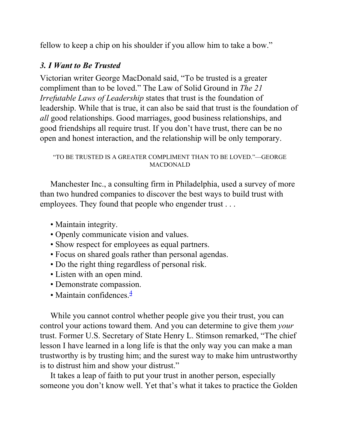fellow to keep a chip on his shoulder if you allow him to take a bow."

# *3. I Want to Be Trusted*

Victorian writer George MacDonald said, "To be trusted is a greater compliment than to be loved." The Law of Solid Ground in *The 21 Irrefutable Laws of Leadership* states that trust is the foundation of leadership. While that is true, it can also be said that trust is the foundation of *all* good relationships. Good marriages, good business relationships, and good friendships all require trust. If you don't have trust, there can be no open and honest interaction, and the relationship will be only temporary.

#### "TO BE TRUSTED IS A GREATER COMPLIMENT THAN TO BE LOVED."—GEORGE MACDONALD

Manchester Inc., a consulting firm in Philadelphia, used a survey of more than two hundred companies to discover the best ways to build trust with employees. They found that people who engender trust . . .

- Maintain integrity.
- Openly communicate vision and values.
- Show respect for employees as equal partners.
- Focus on shared goals rather than personal agendas.
- Do the right thing regardless of personal risk.
- Listen with an open mind.
- Demonstrate compassion.
- Maintain confidences.<sup>[4](#page-79-8)</sup>

While you cannot control whether people give you their trust, you can control your actions toward them. And you can determine to give them *your* trust. Former U.S. Secretary of State Henry L. Stimson remarked, "The chief lesson I have learned in a long life is that the only way you can make a man trustworthy is by trusting him; and the surest way to make him untrustworthy is to distrust him and show your distrust."

It takes a leap of faith to put your trust in another person, especially someone you don't know well. Yet that's what it takes to practice the Golden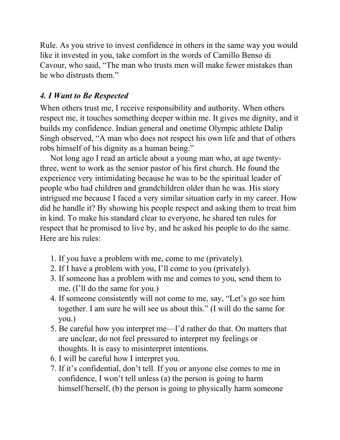Rule. As you strive to invest confidence in others in the same way you would like it invested in you, take comfort in the words of Camillo Benso di Cavour, who said, "The man who trusts men will make fewer mistakes than he who distrusts them."

## *4. I Want to Be Respected*

When others trust me, I receive responsibility and authority. When others respect me, it touches something deeper within me. It gives me dignity, and it builds my confidence. Indian general and onetime Olympic athlete Dalip Singh observed, "A man who does not respect his own life and that of others robs himself of his dignity as a human being."

Not long ago I read an article about a young man who, at age twentythree, went to work as the senior pastor of his first church. He found the experience very intimidating because he was to be the spiritual leader of people who had children and grandchildren older than he was. His story intrigued me because I faced a very similar situation early in my career. How did he handle it? By showing his people respect and asking them to treat him in kind. To make his standard clear to everyone, he shared ten rules for respect that he promised to live by, and he asked his people to do the same. Here are his rules:

- 1. If you have a problem with me, come to me (privately).
- 2. If I have a problem with you, I'll come to you (privately).
- 3. If someone has a problem with me and comes to you, send them to me. (I'll do the same for you.)
- 4. If someone consistently will not come to me, say, "Let's go see him together. I am sure he will see us about this." (I will do the same for you.)
- 5. Be careful how you interpret me—I'd rather do that. On matters that are unclear, do not feel pressured to interpret my feelings or thoughts. It is easy to misinterpret intentions.
- 6. I will be careful how I interpret you.
- 7. If it's confidential, don't tell. If you or anyone else comes to me in confidence, I won't tell unless (a) the person is going to harm himself/herself, (b) the person is going to physically harm someone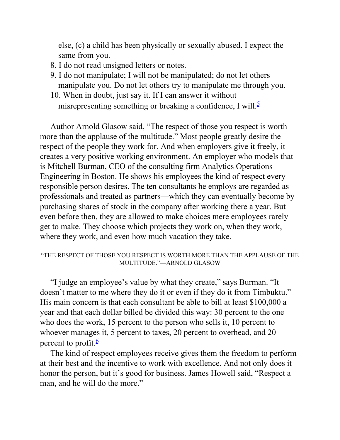else, (c) a child has been physically or sexually abused. I expect the same from you.

- 8. I do not read unsigned letters or notes.
- 9. I do not manipulate; I will not be manipulated; do not let others manipulate you. Do not let others try to manipulate me through you.
- 10. When in doubt, just say it. If I can answer it without misrepresenting something or breaking a confidence, I will.<sup>[5](#page-79-9)</sup>

Author Arnold Glasow said, "The respect of those you respect is worth more than the applause of the multitude." Most people greatly desire the respect of the people they work for. And when employers give it freely, it creates a very positive working environment. An employer who models that is Mitchell Burman, CEO of the consulting firm Analytics Operations Engineering in Boston. He shows his employees the kind of respect every responsible person desires. The ten consultants he employs are regarded as professionals and treated as partners—which they can eventually become by purchasing shares of stock in the company after working there a year. But even before then, they are allowed to make choices mere employees rarely get to make. They choose which projects they work on, when they work, where they work, and even how much vacation they take.

#### "THE RESPECT OF THOSE YOU RESPECT IS WORTH MORE THAN THE APPLAUSE OF THE MULTITUDE."—ARNOLD GLASOW

"I judge an employee's value by what they create," says Burman. "It doesn't matter to me where they do it or even if they do it from Timbuktu." His main concern is that each consultant be able to bill at least \$100,000 a year and that each dollar billed be divided this way: 30 percent to the one who does the work, 15 percent to the person who sells it, 10 percent to whoever manages it, 5 percent to taxes, 20 percent to overhead, and 20 percent to profit.<sup>[6](#page-79-10)</sup>

The kind of respect employees receive gives them the freedom to perform at their best and the incentive to work with excellence. And not only does it honor the person, but it's good for business. James Howell said, "Respect a man, and he will do the more."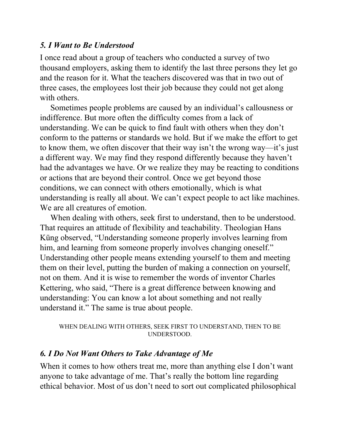## *5. I Want to Be Understood*

I once read about a group of teachers who conducted a survey of two thousand employers, asking them to identify the last three persons they let go and the reason for it. What the teachers discovered was that in two out of three cases, the employees lost their job because they could not get along with others.

Sometimes people problems are caused by an individual's callousness or indifference. But more often the difficulty comes from a lack of understanding. We can be quick to find fault with others when they don't conform to the patterns or standards we hold. But if we make the effort to get to know them, we often discover that their way isn't the wrong way—it's just a different way. We may find they respond differently because they haven't had the advantages we have. Or we realize they may be reacting to conditions or actions that are beyond their control. Once we get beyond those conditions, we can connect with others emotionally, which is what understanding is really all about. We can't expect people to act like machines. We are all creatures of emotion.

When dealing with others, seek first to understand, then to be understood. That requires an attitude of flexibility and teachability. Theologian Hans Küng observed, "Understanding someone properly involves learning from him, and learning from someone properly involves changing oneself." Understanding other people means extending yourself to them and meeting them on their level, putting the burden of making a connection on yourself, not on them. And it is wise to remember the words of inventor Charles Kettering, who said, "There is a great difference between knowing and understanding: You can know a lot about something and not really understand it." The same is true about people.

WHEN DEALING WITH OTHERS, SEEK FIRST TO UNDERSTAND, THEN TO BE UNDERSTOOD.

## *6. I Do Not Want Others to Take Advantage of Me*

When it comes to how others treat me, more than anything else I don't want anyone to take advantage of me. That's really the bottom line regarding ethical behavior. Most of us don't need to sort out complicated philosophical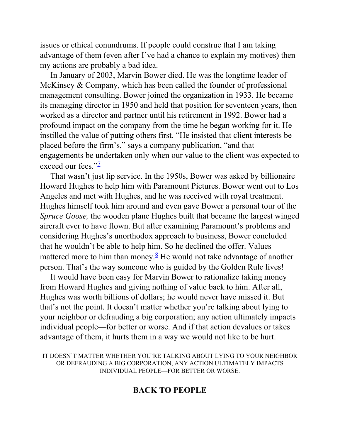issues or ethical conundrums. If people could construe that I am taking advantage of them (even after I've had a chance to explain my motives) then my actions are probably a bad idea.

In January of 2003, Marvin Bower died. He was the longtime leader of McKinsey & Company, which has been called the founder of professional management consulting. Bower joined the organization in 1933. He became its managing director in 1950 and held that position for seventeen years, then worked as a director and partner until his retirement in 1992. Bower had a profound impact on the company from the time he began working for it. He instilled the value of putting others first. "He insisted that client interests be placed before the firm's," says a company publication, "and that engagements be undertaken only when our value to the client was expected to exceed our fees."<sup>[7](#page-79-11)</sup>

That wasn't just lip service. In the 1950s, Bower was asked by billionaire Howard Hughes to help him with Paramount Pictures. Bower went out to Los Angeles and met with Hughes, and he was received with royal treatment. Hughes himself took him around and even gave Bower a personal tour of the *Spruce Goose,* the wooden plane Hughes built that became the largest winged aircraft ever to have flown. But after examining Paramount's problems and considering Hughes's unorthodox approach to business, Bower concluded that he wouldn't be able to help him. So he declined the offer. Values mattered more to him than money. $\frac{8}{3}$  $\frac{8}{3}$  $\frac{8}{3}$  He would not take advantage of another person. That's the way someone who is guided by the Golden Rule lives!

It would have been easy for Marvin Bower to rationalize taking money from Howard Hughes and giving nothing of value back to him. After all, Hughes was worth billions of dollars; he would never have missed it. But that's not the point. It doesn't matter whether you're talking about lying to your neighbor or defrauding a big corporation; any action ultimately impacts individual people—for better or worse. And if that action devalues or takes advantage of them, it hurts them in a way we would not like to be hurt.

IT DOESN'T MATTER WHETHER YOU'RE TALKING ABOUT LYING TO YOUR NEIGHBOR OR DEFRAUDING A BIG CORPORATION, ANY ACTION ULTIMATELY IMPACTS INDIVIDUAL PEOPLE—FOR BETTER OR WORSE.

#### **BACK TO PEOPLE**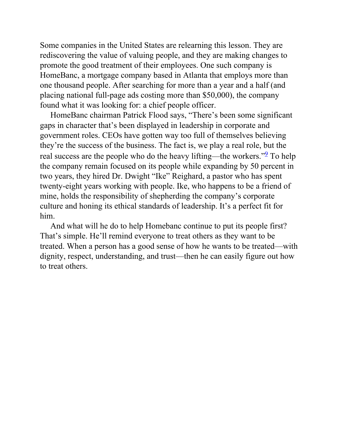Some companies in the United States are relearning this lesson. They are rediscovering the value of valuing people, and they are making changes to promote the good treatment of their employees. One such company is HomeBanc, a mortgage company based in Atlanta that employs more than one thousand people. After searching for more than a year and a half (and placing national full-page ads costing more than \$50,000), the company found what it was looking for: a chief people officer.

HomeBanc chairman Patrick Flood says, "There's been some significant gaps in character that's been displayed in leadership in corporate and government roles. CEOs have gotten way too full of themselves believing they're the success of the business. The fact is, we play a real role, but the real success are the people who do the heavy lifting—the workers."<sup>[9](#page-79-13)</sup> To help the company remain focused on its people while expanding by 50 percent in two years, they hired Dr. Dwight "Ike" Reighard, a pastor who has spent twenty-eight years working with people. Ike, who happens to be a friend of mine, holds the responsibility of shepherding the company's corporate culture and honing its ethical standards of leadership. It's a perfect fit for him.

And what will he do to help Homebanc continue to put its people first? That's simple. He'll remind everyone to treat others as they want to be treated. When a person has a good sense of how he wants to be treated—with dignity, respect, understanding, and trust—then he can easily figure out how to treat others.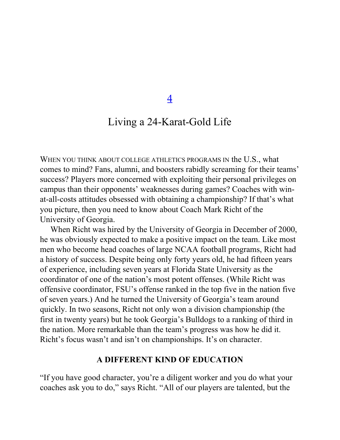[4](#page-1-5)

# <span id="page-32-0"></span>Living a 24-Karat-Gold Life

WHEN YOU THINK ABOUT COLLEGE ATHLETICS PROGRAMS IN the U.S., what comes to mind? Fans, alumni, and boosters rabidly screaming for their teams' success? Players more concerned with exploiting their personal privileges on campus than their opponents' weaknesses during games? Coaches with winat-all-costs attitudes obsessed with obtaining a championship? If that's what you picture, then you need to know about Coach Mark Richt of the University of Georgia.

When Richt was hired by the University of Georgia in December of 2000, he was obviously expected to make a positive impact on the team. Like most men who become head coaches of large NCAA football programs, Richt had a history of success. Despite being only forty years old, he had fifteen years of experience, including seven years at Florida State University as the coordinator of one of the nation's most potent offenses. (While Richt was offensive coordinator, FSU's offense ranked in the top five in the nation five of seven years.) And he turned the University of Georgia's team around quickly. In two seasons, Richt not only won a division championship (the first in twenty years) but he took Georgia's Bulldogs to a ranking of third in the nation. More remarkable than the team's progress was how he did it. Richt's focus wasn't and isn't on championships. It's on character.

#### **A DIFFERENT KIND OF EDUCATION**

"If you have good character, you're a diligent worker and you do what your coaches ask you to do," says Richt. "All of our players are talented, but the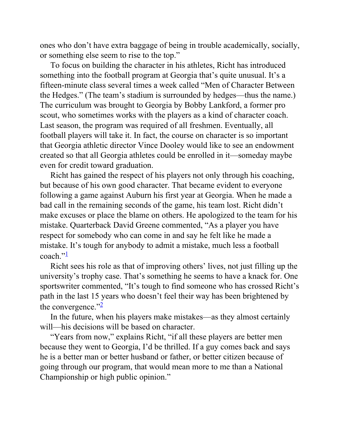ones who don't have extra baggage of being in trouble academically, socially, or something else seem to rise to the top."

To focus on building the character in his athletes, Richt has introduced something into the football program at Georgia that's quite unusual. It's a fifteen-minute class several times a week called "Men of Character Between the Hedges." (The team's stadium is surrounded by hedges—thus the name.) The curriculum was brought to Georgia by Bobby Lankford, a former pro scout, who sometimes works with the players as a kind of character coach. Last season, the program was required of all freshmen. Eventually, all football players will take it. In fact, the course on character is so important that Georgia athletic director Vince Dooley would like to see an endowment created so that all Georgia athletes could be enrolled in it—someday maybe even for credit toward graduation.

Richt has gained the respect of his players not only through his coaching, but because of his own good character. That became evident to everyone following a game against Auburn his first year at Georgia. When he made a bad call in the remaining seconds of the game, his team lost. Richt didn't make excuses or place the blame on others. He apologized to the team for his mistake. Quarterback David Greene commented, "As a player you have respect for somebody who can come in and say he felt like he made a mistake. It's tough for anybody to admit a mistake, much less a football coach."<sup>[1](#page-79-14)</sup>

Richt sees his role as that of improving others' lives, not just filling up the university's trophy case. That's something he seems to have a knack for. One sportswriter commented, "It's tough to find someone who has crossed Richt's path in the last 15 years who doesn't feel their way has been brightened by the convergence." $\frac{2}{3}$  $\frac{2}{3}$  $\frac{2}{3}$ 

In the future, when his players make mistakes—as they almost certainly will—his decisions will be based on character.

"Years from now," explains Richt, "if all these players are better men because they went to Georgia, I'd be thrilled. If a guy comes back and says he is a better man or better husband or father, or better citizen because of going through our program, that would mean more to me than a National Championship or high public opinion."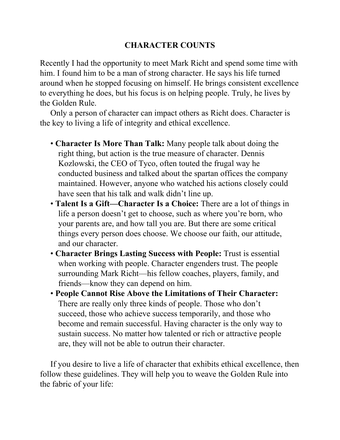## **CHARACTER COUNTS**

Recently I had the opportunity to meet Mark Richt and spend some time with him. I found him to be a man of strong character. He says his life turned around when he stopped focusing on himself. He brings consistent excellence to everything he does, but his focus is on helping people. Truly, he lives by the Golden Rule.

Only a person of character can impact others as Richt does. Character is the key to living a life of integrity and ethical excellence.

- **Character Is More Than Talk:** Many people talk about doing the right thing, but action is the true measure of character. Dennis Kozlowski, the CEO of Tyco, often touted the frugal way he conducted business and talked about the spartan offices the company maintained. However, anyone who watched his actions closely could have seen that his talk and walk didn't line up.
- **Talent Is a Gift—Character Is a Choice:** There are a lot of things in life a person doesn't get to choose, such as where you're born, who your parents are, and how tall you are. But there are some critical things every person does choose. We choose our faith, our attitude, and our character.
- **Character Brings Lasting Success with People:** Trust is essential when working with people. Character engenders trust. The people surrounding Mark Richt—his fellow coaches, players, family, and friends—know they can depend on him.
- **People Cannot Rise Above the Limitations of Their Character:** There are really only three kinds of people. Those who don't succeed, those who achieve success temporarily, and those who become and remain successful. Having character is the only way to sustain success. No matter how talented or rich or attractive people are, they will not be able to outrun their character.

If you desire to live a life of character that exhibits ethical excellence, then follow these guidelines. They will help you to weave the Golden Rule into the fabric of your life: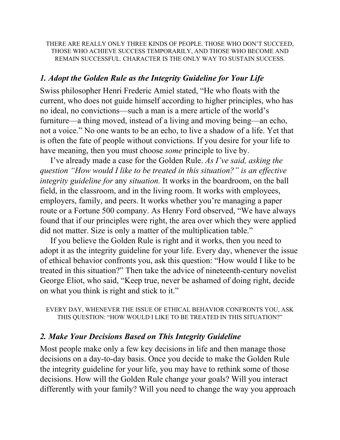THERE ARE REALLY ONLY THREE KINDS OF PEOPLE. THOSE WHO DON'T SUCCEED, THOSE WHO ACHIEVE SUCCESS TEMPORARILY, AND THOSE WHO BECOME AND REMAIN SUCCESSFUL. CHARACTER IS THE ONLY WAY TO SUSTAIN SUCCESS.

## *1. Adopt the Golden Rule as the Integrity Guideline for Your Life*

Swiss philosopher Henri Frederic Amiel stated, "He who floats with the current, who does not guide himself according to higher principles, who has no ideal, no convictions—such a man is a mere article of the world's furniture—a thing moved, instead of a living and moving being—an echo, not a voice." No one wants to be an echo, to live a shadow of a life. Yet that is often the fate of people without convictions. If you desire for your life to have meaning, then you must choose *some* principle to live by.

I've already made a case for the Golden Rule. *As I've said, asking the question "How would I like to be treated in this situation?" is an ef ective integrity guideline for* any *situation.* It works in the boardroom, on the ball field, in the classroom, and in the living room. It works with employees, employers, family, and peers. It works whether you're managing a paper route or a Fortune 500 company. As Henry Ford observed, "We have always found that if our principles were right, the area over which they were applied did not matter. Size is only a matter of the multiplication table."

If you believe the Golden Rule is right and it works, then you need to adopt it as the integrity guideline for your life. Every day, whenever the issue of ethical behavior confronts you, ask this question: "How would I like to be treated in this situation?" Then take the advice of nineteenth-century novelist George Eliot, who said, "Keep true, never be ashamed of doing right, decide on what you think is right and stick to it."

EVERY DAY, WHENEVER THE ISSUE OF ETHICAL BEHAVIOR CONFRONTS YOU, ASK THIS QUESTION: "HOW WOULD I LIKE TO BE TREATED IN THIS SITUATION?"

## *2. Make Your Decisions Based on This Integrity Guideline*

Most people make only a few key decisions in life and then manage those decisions on a day-to-day basis. Once you decide to make the Golden Rule the integrity guideline for your life, you may have to rethink some of those decisions. How will the Golden Rule change your goals? Will you interact differently with your family? Will you need to change the way you approach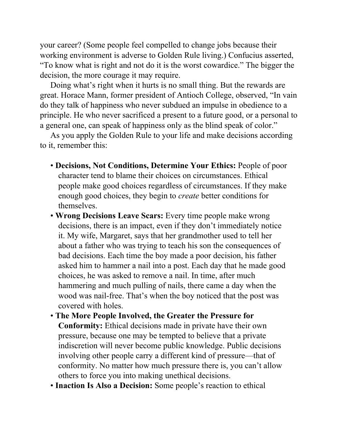your career? (Some people feel compelled to change jobs because their working environment is adverse to Golden Rule living.) Confucius asserted, "To know what is right and not do it is the worst cowardice." The bigger the decision, the more courage it may require.

Doing what's right when it hurts is no small thing. But the rewards are great. Horace Mann, former president of Antioch College, observed, "In vain do they talk of happiness who never subdued an impulse in obedience to a principle. He who never sacrificed a present to a future good, or a personal to a general one, can speak of happiness only as the blind speak of color."

As you apply the Golden Rule to your life and make decisions according to it, remember this:

- **Decisions, Not Conditions, Determine Your Ethics:** People of poor character tend to blame their choices on circumstances. Ethical people make good choices regardless of circumstances. If they make enough good choices, they begin to *create* better conditions for themselves.
- **Wrong Decisions Leave Scars:** Every time people make wrong decisions, there is an impact, even if they don't immediately notice it. My wife, Margaret, says that her grandmother used to tell her about a father who was trying to teach his son the consequences of bad decisions. Each time the boy made a poor decision, his father asked him to hammer a nail into a post. Each day that he made good choices, he was asked to remove a nail. In time, after much hammering and much pulling of nails, there came a day when the wood was nail-free. That's when the boy noticed that the post was covered with holes.
- **The More People Involved, the Greater the Pressure for Conformity:** Ethical decisions made in private have their own pressure, because one may be tempted to believe that a private indiscretion will never become public knowledge. Public decisions involving other people carry a different kind of pressure—that of conformity. No matter how much pressure there is, you can't allow others to force you into making unethical decisions.
- **Inaction Is Also a Decision:** Some people's reaction to ethical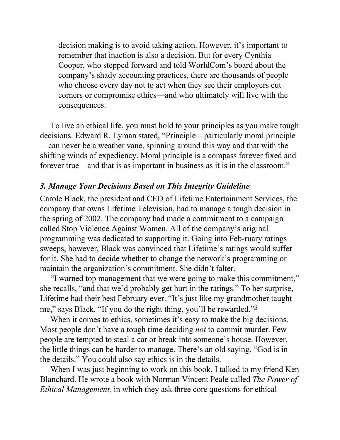decision making is to avoid taking action. However, it's important to remember that inaction is also a decision. But for every Cynthia Cooper, who stepped forward and told WorldCom's board about the company's shady accounting practices, there are thousands of people who choose every day not to act when they see their employers cut corners or compromise ethics—and who ultimately will live with the consequences.

To live an ethical life, you must hold to your principles as you make tough decisions. Edward R. Lyman stated, "Principle—particularly moral principle —can never be a weather vane, spinning around this way and that with the shifting winds of expediency. Moral principle is a compass forever fixed and forever true—and that is as important in business as it is in the classroom."

### *3. Manage Your Decisions Based on This Integrity Guideline*

Carole Black, the president and CEO of Lifetime Entertainment Services, the company that owns Lifetime Television, had to manage a tough decision in the spring of 2002. The company had made a commitment to a campaign called Stop Violence Against Women. All of the company's original programming was dedicated to supporting it. Going into Feb-ruary ratings sweeps, however, Black was convinced that Lifetime's ratings would suffer for it. She had to decide whether to change the network's programming or maintain the organization's commitment. She didn't falter.

"I warned top management that we were going to make this commitment," she recalls, "and that we'd probably get hurt in the ratings." To her surprise, Lifetime had their best February ever. "It's just like my grandmother taught me," says Black. "If you do the right thing, you'll be rewarded."<sup>[3](#page-79-0)</sup>

When it comes to ethics, sometimes it's easy to make the big decisions. Most people don't have a tough time deciding *not* to commit murder. Few people are tempted to steal a car or break into someone's house. However, the little things can be harder to manage. There's an old saying, "God is in the details." You could also say ethics is in the details.

When I was just beginning to work on this book, I talked to my friend Ken Blanchard. He wrote a book with Norman Vincent Peale called *The Power of Ethical Management,* in which they ask three core questions for ethical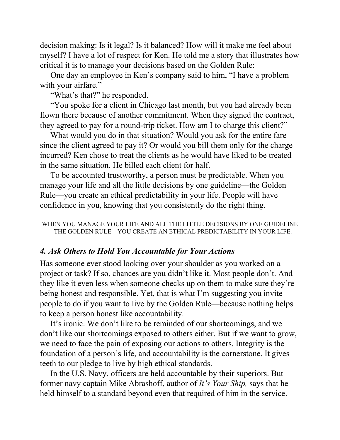decision making: Is it legal? Is it balanced? How will it make me feel about myself? I have a lot of respect for Ken. He told me a story that illustrates how critical it is to manage your decisions based on the Golden Rule:

One day an employee in Ken's company said to him, "I have a problem with your airfare."

"What's that?" he responded.

"You spoke for a client in Chicago last month, but you had already been flown there because of another commitment. When they signed the contract, they agreed to pay for a round-trip ticket. How am I to charge this client?"

What would you do in that situation? Would you ask for the entire fare since the client agreed to pay it? Or would you bill them only for the charge incurred? Ken chose to treat the clients as he would have liked to be treated in the same situation. He billed each client for half.

To be accounted trustworthy, a person must be predictable. When you manage your life and all the little decisions by one guideline—the Golden Rule—you create an ethical predictability in your life. People will have confidence in you, knowing that you consistently do the right thing.

WHEN YOU MANAGE YOUR LIFE AND ALL THE LITTLE DECISIONS BY ONE GUIDELINE —THE GOLDEN RULE—YOU CREATE AN ETHICAL PREDICTABILITY IN YOUR LIFE.

## *4. Ask Others to Hold You Accountable for Your Actions*

Has someone ever stood looking over your shoulder as you worked on a project or task? If so, chances are you didn't like it. Most people don't. And they like it even less when someone checks up on them to make sure they're being honest and responsible. Yet, that is what I'm suggesting you invite people to do if you want to live by the Golden Rule—because nothing helps to keep a person honest like accountability.

It's ironic. We don't like to be reminded of our shortcomings, and we don't like our shortcomings exposed to others either. But if we want to grow, we need to face the pain of exposing our actions to others. Integrity is the foundation of a person's life, and accountability is the cornerstone. It gives teeth to our pledge to live by high ethical standards.

In the U.S. Navy, officers are held accountable by their superiors. But former navy captain Mike Abrashoff, author of *It's Your Ship,* says that he held himself to a standard beyond even that required of him in the service.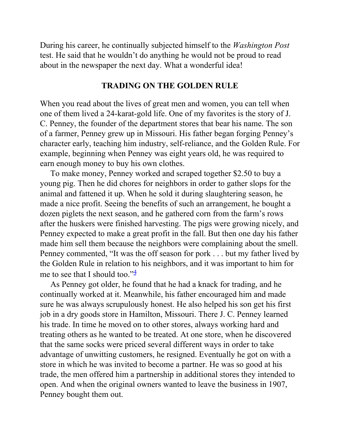During his career, he continually subjected himself to the *Washington Post* test. He said that he wouldn't do anything he would not be proud to read about in the newspaper the next day. What a wonderful idea!

#### **TRADING ON THE GOLDEN RULE**

When you read about the lives of great men and women, you can tell when one of them lived a 24-karat-gold life. One of my favorites is the story of J. C. Penney, the founder of the department stores that bear his name. The son of a farmer, Penney grew up in Missouri. His father began forging Penney's character early, teaching him industry, self-reliance, and the Golden Rule. For example, beginning when Penney was eight years old, he was required to earn enough money to buy his own clothes.

To make money, Penney worked and scraped together \$2.50 to buy a young pig. Then he did chores for neighbors in order to gather slops for the animal and fattened it up. When he sold it during slaughtering season, he made a nice profit. Seeing the benefits of such an arrangement, he bought a dozen piglets the next season, and he gathered corn from the farm's rows after the huskers were finished harvesting. The pigs were growing nicely, and Penney expected to make a great profit in the fall. But then one day his father made him sell them because the neighbors were complaining about the smell. Penney commented, "It was the off season for pork . . . but my father lived by the Golden Rule in relation to his neighbors, and it was important to him for me to see that I should too." $\frac{4}{3}$  $\frac{4}{3}$  $\frac{4}{3}$ 

As Penney got older, he found that he had a knack for trading, and he continually worked at it. Meanwhile, his father encouraged him and made sure he was always scrupulously honest. He also helped his son get his first job in a dry goods store in Hamilton, Missouri. There J. C. Penney learned his trade. In time he moved on to other stores, always working hard and treating others as he wanted to be treated. At one store, when he discovered that the same socks were priced several different ways in order to take advantage of unwitting customers, he resigned. Eventually he got on with a store in which he was invited to become a partner. He was so good at his trade, the men offered him a partnership in additional stores they intended to open. And when the original owners wanted to leave the business in 1907, Penney bought them out.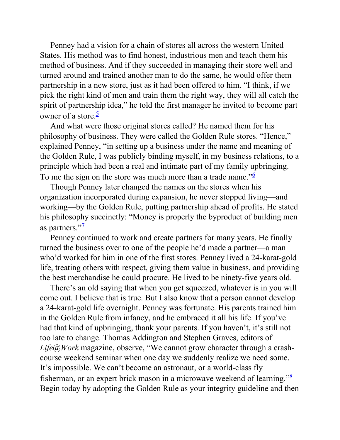Penney had a vision for a chain of stores all across the western United States. His method was to find honest, industrious men and teach them his method of business. And if they succeeded in managing their store well and turned around and trained another man to do the same, he would offer them partnership in a new store, just as it had been offered to him. "I think, if we pick the right kind of men and train them the right way, they will all catch the spirit of partnership idea," he told the first manager he invited to become part owner of a store.<sup>[5](#page-80-1)</sup>

And what were those original stores called? He named them for his philosophy of business. They were called the Golden Rule stores. "Hence," explained Penney, "in setting up a business under the name and meaning of the Golden Rule, I was publicly binding myself, in my business relations, to a principle which had been a real and intimate part of my family upbringing. To me the sign on the store was much more than a trade name." $\frac{6}{5}$  $\frac{6}{5}$  $\frac{6}{5}$ 

Though Penney later changed the names on the stores when his organization incorporated during expansion, he never stopped living—and working—by the Golden Rule, putting partnership ahead of profits. He stated his philosophy succinctly: "Money is properly the byproduct of building men as partners."<sup>[7](#page-80-3)</sup>

Penney continued to work and create partners for many years. He finally turned the business over to one of the people he'd made a partner—a man who'd worked for him in one of the first stores. Penney lived a 24-karat-gold life, treating others with respect, giving them value in business, and providing the best merchandise he could procure. He lived to be ninety-five years old.

There's an old saying that when you get squeezed, whatever is in you will come out. I believe that is true. But I also know that a person cannot develop a 24-karat-gold life overnight. Penney was fortunate. His parents trained him in the Golden Rule from infancy, and he embraced it all his life. If you've had that kind of upbringing, thank your parents. If you haven't, it's still not too late to change. Thomas Addington and Stephen Graves, editors of *Life@Work* magazine, observe, "We cannot grow character through a crashcourse weekend seminar when one day we suddenly realize we need some. It's impossible. We can't become an astronaut, or a world-class fly fisherman, or an expert brick mason in a microwave weekend of learning." $8$ Begin today by adopting the Golden Rule as your integrity guideline and then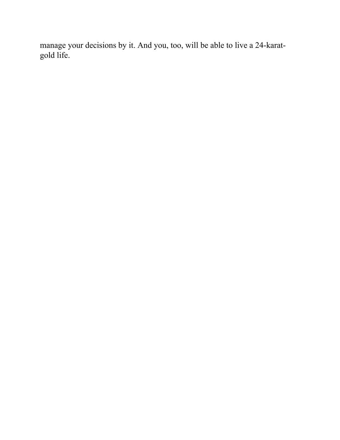manage your decisions by it. And you, too, will be able to live a 24-karatg o l d l i fe.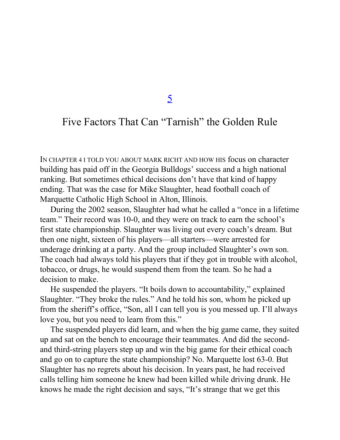[5](#page-1-0)

# Five Factors That Can "Tarnish" the Golden Rule

IN CHAPTER 4 I TOLD YOU ABOUT MARK RICHT AND HOW HIS focus on character building has paid off in the Georgia Bulldogs' success and a high national ranking. But sometimes ethical decisions don't have that kind of happy ending. That was the case for Mike Slaughter, head football coach of Marquette Catholic High School in Alton, Illinois.

During the 2002 season, Slaughter had what he called a "once in a lifetime team." Their record was 10-0, and they were on track to earn the school's first state championship. Slaughter was living out every coach's dream. But then one night, sixteen of his players—all starters—were arrested for underage drinking at a party. And the group included Slaughter's own son. The coach had always told his players that if they got in trouble with alcohol, tobacco, or drugs, he would suspend them from the team. So he had a decision to make.

He suspended the players. "It boils down to accountability," explained Slaughter. "They broke the rules." And he told his son, whom he picked up from the sheriff's office, "Son, all I can tell you is you messed up. I'll always love you, but you need to learn from this."

The suspended players did learn, and when the big game came, they suited up and sat on the bench to encourage their teammates. And did the secondand third-string players step up and win the big game for their ethical coach and go on to capture the state championship? No. Marquette lost 63-0. But Slaughter has no regrets about his decision. In years past, he had received calls telling him someone he knew had been killed while driving drunk. He knows he made the right decision and says, "It's strange that we get this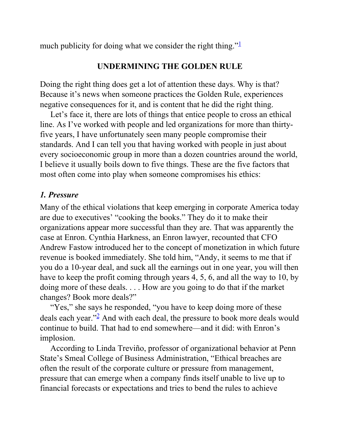much publicity for doing what we consider the right thing."<sup>[1](#page-80-5)</sup>

# **UNDERMINING THE GOLDEN RULE**

Doing the right thing does get a lot of attention these days. Why is that? Because it's news when someone practices the Golden Rule, experiences negative consequences for it, and is content that he did the right thing.

Let's face it, there are lots of things that entice people to cross an ethical line. As I've worked with people and led organizations for more than thirtyfive years, I have unfortunately seen many people compromise their standards. And I can tell you that having worked with people in just about every socioeconomic group in more than a dozen countries around the world, I believe it usually boils down to five things. These are the five factors that most often come into play when someone compromises his ethics:

# *1. Pressure*

Many of the ethical violations that keep emerging in corporate America today are due to executives' "cooking the books." They do it to make their organizations appear more successful than they are. That was apparently the case at Enron. Cynthia Harkness, an Enron lawyer, recounted that CFO Andrew Fastow introduced her to the concept of monetization in which future revenue is booked immediately. She told him, "Andy, it seems to me that if you do a 10-year deal, and suck all the earnings out in one year, you will then have to keep the profit coming through years 4, 5, 6, and all the way to 10, by doing more of these deals. . . . How are you going to do that if the market changes? Book more deals?"

"Yes," she says he responded, "you have to keep doing more of these deals each year."<sup>[2](#page-80-6)</sup> And with each deal, the pressure to book more deals would continue to build. That had to end somewhere—and it did: with Enron's implosion.

According to Linda Treviño, professor of organizational behavior at Penn State's Smeal College of Business Administration, "Ethical breaches are often the result of the corporate culture or pressure from management, pressure that can emerge when a company finds itself unable to live up to financial forecasts or expectations and tries to bend the rules to achieve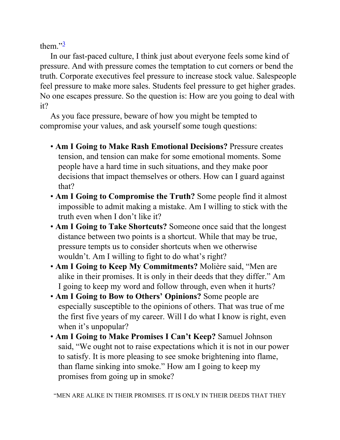them. $\frac{3}{2}$  $\frac{3}{2}$  $\frac{3}{2}$ 

In our fast-paced culture, I think just about everyone feels some kind of pressure. And with pressure comes the temptation to cut corners or bend the truth. Corporate executives feel pressure to increase stock value. Salespeople feel pressure to make more sales. Students feel pressure to get higher grades. No one escapes pressure. So the question is: How are you going to deal with it?

As you face pressure, beware of how you might be tempted to compromise your values, and ask yourself some tough questions:

- **Am I Going to Make Rash Emotional Decisions?** Pressure creates tension, and tension can make for some emotional moments. Some people have a hard time in such situations, and they make poor decisions that impact themselves or others. How can I guard against that?
- **Am I Going to Compromise the Truth?** Some people find it almost impossible to admit making a mistake. Am I willing to stick with the truth even when I don't like it?
- **Am I Going to Take Shortcuts?** Someone once said that the longest distance between two points is a shortcut. While that may be true, pressure tempts us to consider shortcuts when we otherwise wouldn't. Am I willing to fight to do what's right?
- **Am I Going to Keep My Commitments?** Molière said, "Men are alike in their promises. It is only in their deeds that they differ." Am I going to keep my word and follow through, even when it hurts?
- **Am I Going to Bow to Others' Opinions?** Some people are especially susceptible to the opinions of others. That was true of me the first five years of my career. Will I do what I know is right, even when it's unpopular?
- **Am I Going to Make Promises I Can't Keep?** Samuel Johnson said, "We ought not to raise expectations which it is not in our power to satisfy. It is more pleasing to see smoke brightening into flame, than flame sinking into smoke." How am I going to keep my promises from going up in smoke?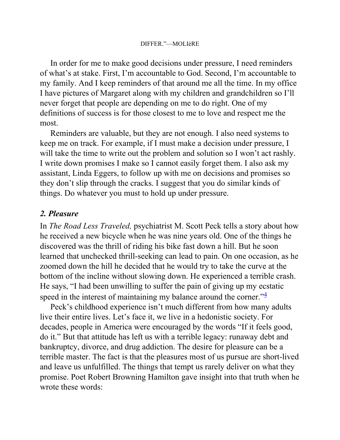In order for me to make good decisions under pressure, I need reminders of what's at stake. First, I'm accountable to God. Second, I'm accountable to my family. And I keep reminders of that around me all the time. In my office I have pictures of Margaret along with my children and grandchildren so I'll never forget that people are depending on me to do right. One of my definitions of success is for those closest to me to love and respect me the most.

Reminders are valuable, but they are not enough. I also need systems to keep me on track. For example, if I must make a decision under pressure, I will take the time to write out the problem and solution so I won't act rashly. I write down promises I make so I cannot easily forget them. I also ask my assistant, Linda Eggers, to follow up with me on decisions and promises so they don't slip through the cracks. I suggest that you do similar kinds of things. Do whatever you must to hold up under pressure.

#### *2. Pleasure*

In *The Road Less Traveled,* psychiatrist M. Scott Peck tells a story about how he received a new bicycle when he was nine years old. One of the things he discovered was the thrill of riding his bike fast down a hill. But he soon learned that unchecked thrill-seeking can lead to pain. On one occasion, as he zoomed down the hill he decided that he would try to take the curve at the bottom of the incline without slowing down. He experienced a terrible crash. He says, "I had been unwilling to suffer the pain of giving up my ecstatic speed in the interest of maintaining my balance around the corner.<sup> $\frac{34}{4}$  $\frac{34}{4}$  $\frac{34}{4}$ </sup>

Peck's childhood experience isn't much different from how many adults live their entire lives. Let's face it, we live in a hedonistic society. For decades, people in America were encouraged by the words "If it feels good, do it." But that attitude has left us with a terrible legacy: runaway debt and bankruptcy, divorce, and drug addiction. The desire for pleasure can be a terrible master. The fact is that the pleasures most of us pursue are short-lived and leave us unfulfilled. The things that tempt us rarely deliver on what they promise. Poet Robert Browning Hamilton gave insight into that truth when he wrote these words: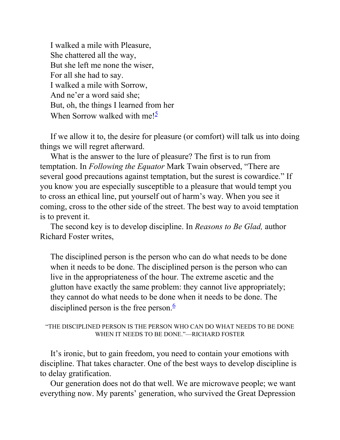I walked a mile with Pleasure, She chattered all the way, But she left me none the wiser, For all she had to say. I walked a mile with Sorrow, And ne'er a word said she; But, oh, the things I learned from her When Sorrow walked with me!<sup>[5](#page-80-9)</sup>

If we allow it to, the desire for pleasure (or comfort) will talk us into doing things we will regret afterward.

What is the answer to the lure of pleasure? The first is to run from temptation. In *Following the Equator* Mark Twain observed, "There are several good precautions against temptation, but the surest is cowardice." If you know you are especially susceptible to a pleasure that would tempt you to cross an ethical line, put yourself out of harm's way. When you see it coming, cross to the other side of the street. The best way to avoid temptation is to prevent it.

The second key is to develop discipline. In *Reasons to Be Glad,* author Richard Foster writes,

The disciplined person is the person who can do what needs to be done when it needs to be done. The disciplined person is the person who can live in the appropriateness of the hour. The extreme ascetic and the glutton have exactly the same problem: they cannot live appropriately; they cannot do what needs to be done when it needs to be done. The disciplined person is the free person.<sup>[6](#page-80-10)</sup>

```
"THE DISCIPLINED PERSON IS THE PERSON WHO CAN DO WHAT NEEDS TO BE DONE
 WHEN IT NEEDS TO BE DONE."—RICHARD FOSTER
```
It's ironic, but to gain freedom, you need to contain your emotions with discipline. That takes character. One of the best ways to develop discipline is to delay gratification.

Our generation does not do that well. We are microwave people; we want everything now. My parents' generation, who survived the Great Depression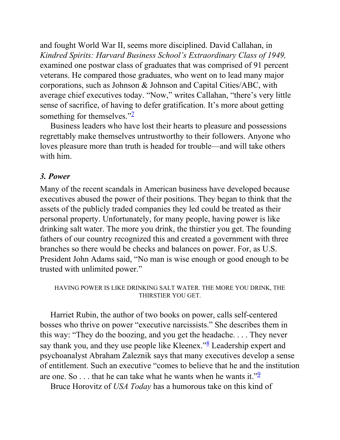and fought World War II, seems more disciplined. David Callahan, in *Kindred Spirits: Harvard Business School's Extraordinary Class of 1949,* examined one postwar class of graduates that was comprised of 91 percent veterans. He compared those graduates, who went on to lead many major corporations, such as Johnson & Johnson and Capital Cities/ABC, with average chief executives today. "Now," writes Callahan, "there's very little sense of sacrifice, of having to defer gratification. It's more about getting something for themselves."<sup>[7](#page-80-11)</sup>

Business leaders who have lost their hearts to pleasure and possessions regrettably make themselves untrustworthy to their followers. Anyone who loves pleasure more than truth is headed for trouble—and will take others with him.

## *3. Power*

Many of the recent scandals in American business have developed because executives abused the power of their positions. They began to think that the assets of the publicly traded companies they led could be treated as their personal property. Unfortunately, for many people, having power is like drinking salt water. The more you drink, the thirstier you get. The founding fathers of our country recognized this and created a government with three branches so there would be checks and balances on power. For, as U.S. President John Adams said, "No man is wise enough or good enough to be trusted with unlimited power."

```
HAVING POWER IS LIKE DRINKING SALT WATER. THE MORE YOU DRINK, THE
            THIRSTIER YOU GET.
```
Harriet Rubin, the author of two books on power, calls self-centered bosses who thrive on power "executive narcissists." She describes them in this way: "They do the boozing, and you get the headache. . . . They never say thank you, and they use people like Kleenex."<sup>[8](#page-80-12)</sup> Leadership expert and psychoanalyst Abraham Zaleznik says that many executives develop a sense of entitlement. Such an executive "comes to believe that he and the institution are one. So  $\dots$  that he can take what he wants when he wants it."<sup>2</sup>

Bruce Horovitz of *USA Today* has a humorous take on this kind of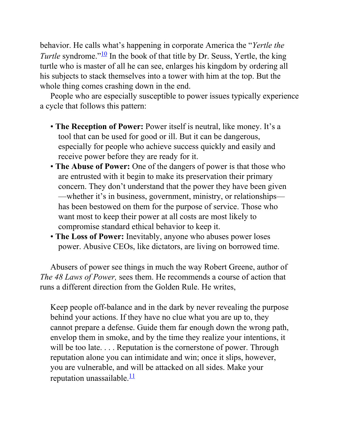behavior. He calls what's happening in corporate America the "*Yertle the* Turtle syndrome."<sup>[10](#page-80-14)</sup> In the book of that title by Dr. Seuss, Yertle, the king turtle who is master of all he can see, enlarges his kingdom by ordering all his subjects to stack themselves into a tower with him at the top. But the whole thing comes crashing down in the end.

People who are especially susceptible to power issues typically experience a cycle that follows this pattern:

- **The Reception of Power:** Power itself is neutral, like money. It's a tool that can be used for good or ill. But it can be dangerous, especially for people who achieve success quickly and easily and receive power before they are ready for it.
- **The Abuse of Power:** One of the dangers of power is that those who are entrusted with it begin to make its preservation their primary concern. They don't understand that the power they have been given —whether it's in business, government, ministry, or relationships has been bestowed on them for the purpose of service. Those who want most to keep their power at all costs are most likely to compromise standard ethical behavior to keep it.
- **The Loss of Power:** Inevitably, anyone who abuses power loses power. Abusive CEOs, like dictators, are living on borrowed time.

Abusers of power see things in much the way Robert Greene, author of *The 48 Laws of Power,* sees them. He recommends a course of action that runs a different direction from the Golden Rule. He writes,

Keep people off-balance and in the dark by never revealing the purpose behind your actions. If they have no clue what you are up to, they cannot prepare a defense. Guide them far enough down the wrong path, envelop them in smoke, and by the time they realize your intentions, it will be too late. . . . Reputation is the cornerstone of power. Through reputation alone you can intimidate and win; once it slips, however, you are vulnerable, and will be attacked on all sides. Make your reputation unassailable.<sup>[11](#page-80-15)</sup>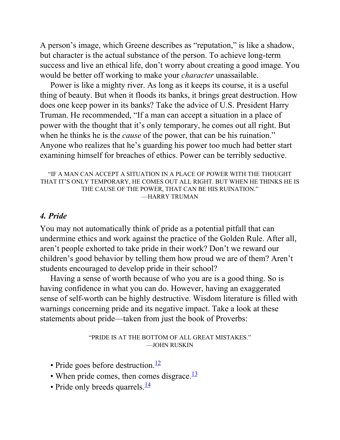A person's image, which Greene describes as "reputation," is like a shadow, but character is the actual substance of the person. To achieve long-term success and live an ethical life, don't worry about creating a good image. You would be better off working to make your *character* unassailable.

Power is like a mighty river. As long as it keeps its course, it is a useful thing of beauty. But when it floods its banks, it brings great destruction. How does one keep power in its banks? Take the advice of U.S. President Harry Truman. He recommended, "If a man can accept a situation in a place of power with the thought that it's only temporary, he comes out all right. But when he thinks he is the *cause* of the power, that can be his ruination." Anyone who realizes that he's guarding his power too much had better start examining himself for breaches of ethics. Power can be terribly seductive.

"IF A MAN CAN ACCEPT A SITUATION IN A PLACE OF POWER WITH THE THOUGHT THAT IT'S ONLY TEMPORARY, HE COMES OUT ALL RIGHT. BUT WHEN HE THINKS HE IS THE CAUSE OF THE POWER, THAT CAN BE HIS RUINATION." —HARRY TRUMAN

#### *4. Pride*

You may not automatically think of pride as a potential pitfall that can undermine ethics and work against the practice of the Golden Rule. After all, aren't people exhorted to take pride in their work? Don't we reward our children's good behavior by telling them how proud we are of them? Aren't students encouraged to develop pride in their school?

Having a sense of worth because of who you are is a good thing. So is having confidence in what you can do. However, having an exaggerated sense of self-worth can be highly destructive. Wisdom literature is filled with warnings concerning pride and its negative impact. Take a look at these statements about pride—taken from just the book of Proverbs:

#### "PRIDE IS AT THE BOTTOM OF ALL GREAT MISTAKES." —JOHN RUSKIN

- Pride goes before destruction.<sup>[12](#page-81-0)</sup>
- When pride comes, then comes disgrace.<sup>[13](#page-81-1)</sup>
- Pride only breeds quarrels.<sup>[14](#page-81-2)</sup>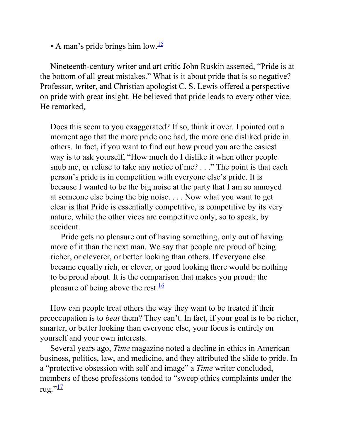• A man's pride brings him low.<sup>[15](#page-81-3)</sup>

Nineteenth-century writer and art critic John Ruskin asserted, "Pride is at the bottom of all great mistakes." What is it about pride that is so negative? Professor, writer, and Christian apologist C. S. Lewis offered a perspective on pride with great insight. He believed that pride leads to every other vice. He remarked,

Does this seem to you exaggerated? If so, think it over. I pointed out a moment ago that the more pride one had, the more one disliked pride in others. In fact, if you want to find out how proud you are the easiest way is to ask yourself, "How much do I dislike it when other people snub me, or refuse to take any notice of me? . . ." The point is that each person's pride is in competition with everyone else's pride. It is because I wanted to be the big noise at the party that I am so annoyed at someone else being the big noise. . . . Now what you want to get clear is that Pride is essentially competitive, is competitive by its very nature, while the other vices are competitive only, so to speak, by accident.

Pride gets no pleasure out of having something, only out of having more of it than the next man. We say that people are proud of being richer, or cleverer, or better looking than others. If everyone else became equally rich, or clever, or good looking there would be nothing to be proud about. It is the comparison that makes you proud: the pleasure of being above the rest.<sup>[16](#page-81-4)</sup>

How can people treat others the way they want to be treated if their preoccupation is to *beat* them? They can't. In fact, if your goal is to be richer, smarter, or better looking than everyone else, your focus is entirely on yourself and your own interests.

Several years ago, *Time* magazine noted a decline in ethics in American business, politics, law, and medicine, and they attributed the slide to pride. In a "protective obsession with self and image" a *Time* writer concluded, members of these professions tended to "sweep ethics complaints under the rug.''<sup><u>[17](#page-81-5)</u></sup>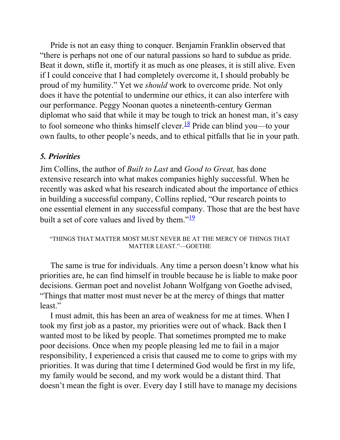Pride is not an easy thing to conquer. Benjamin Franklin observed that "there is perhaps not one of our natural passions so hard to subdue as pride. Beat it down, stifle it, mortify it as much as one pleases, it is still alive. Even if I could conceive that I had completely overcome it, I should probably be proud of my humility." Yet we *should* work to overcome pride. Not only does it have the potential to undermine our ethics, it can also interfere with our performance. Peggy Noonan quotes a nineteenth-century German diplomat who said that while it may be tough to trick an honest man, it's easy to fool someone who thinks himself clever.<sup>[18](#page-81-6)</sup> Pride can blind you—to your own faults, to other people's needs, and to ethical pitfalls that lie in your path.

# *5. Priorities*

Jim Collins, the author of *Built to Last* and *Good to Great,* has done extensive research into what makes companies highly successful. When he recently was asked what his research indicated about the importance of ethics in building a successful company, Collins replied, "Our research points to one essential element in any successful company. Those that are the best have built a set of core values and lived by them." $\frac{19}{2}$  $\frac{19}{2}$  $\frac{19}{2}$ 

```
"THINGS THAT MATTER MOST MUST NEVER BE AT THE MERCY OF THINGS THAT
         MATTER LEAST."—GOETHE
```
The same is true for individuals. Any time a person doesn't know what his priorities are, he can find himself in trouble because he is liable to make poor decisions. German poet and novelist Johann Wolfgang von Goethe advised, "Things that matter most must never be at the mercy of things that matter least."

I must admit, this has been an area of weakness for me at times. When I took my first job as a pastor, my priorities were out of whack. Back then I wanted most to be liked by people. That sometimes prompted me to make poor decisions. Once when my people pleasing led me to fail in a major responsibility, I experienced a crisis that caused me to come to grips with my priorities. It was during that time I determined God would be first in my life, my family would be second, and my work would be a distant third. That doesn't mean the fight is over. Every day I still have to manage my decisions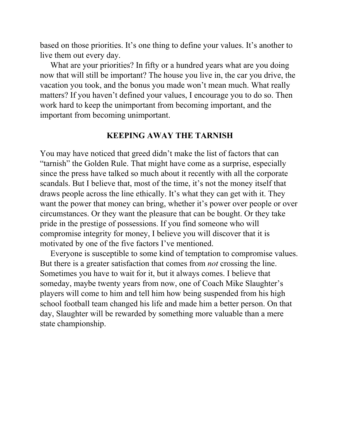based on those priorities. It's one thing to define your values. It's another to live them out every day.

What are your priorities? In fifty or a hundred years what are you doing now that will still be important? The house you live in, the car you drive, the vacation you took, and the bonus you made won't mean much. What really matters? If you haven't defined your values, I encourage you to do so. Then work hard to keep the unimportant from becoming important, and the important from becoming unimportant.

#### **KEEPING AWAY THE TARNISH**

You may have noticed that greed didn't make the list of factors that can "tarnish" the Golden Rule. That might have come as a surprise, especially since the press have talked so much about it recently with all the corporate scandals. But I believe that, most of the time, it's not the money itself that draws people across the line ethically. It's what they can get with it. They want the power that money can bring, whether it's power over people or over circumstances. Or they want the pleasure that can be bought. Or they take pride in the prestige of possessions. If you find someone who will compromise integrity for money, I believe you will discover that it is motivated by one of the five factors I've mentioned.

Everyone is susceptible to some kind of temptation to compromise values. But there is a greater satisfaction that comes from *not* crossing the line. Sometimes you have to wait for it, but it always comes. I believe that someday, maybe twenty years from now, one of Coach Mike Slaughter's players will come to him and tell him how being suspended from his high school football team changed his life and made him a better person. On that day, Slaughter will be rewarded by something more valuable than a mere state championship.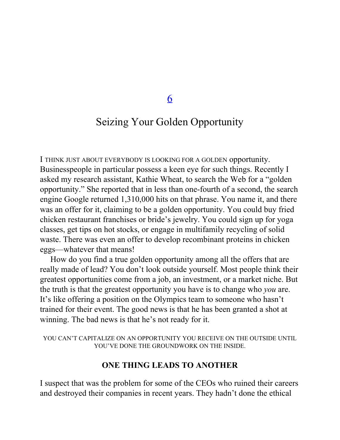[6](#page-1-1)

# Seizing Your Golden Opportunity

I THINK JUST ABOUT EVERYBODY IS LOOKING FOR A GOLDEN opportunity. Businesspeople in particular possess a keen eye for such things. Recently I asked my research assistant, Kathie Wheat, to search the Web for a "golden opportunity." She reported that in less than one-fourth of a second, the search engine Google returned 1,310,000 hits on that phrase. You name it, and there was an offer for it, claiming to be a golden opportunity. You could buy fried chicken restaurant franchises or bride's jewelry. You could sign up for yoga classes, get tips on hot stocks, or engage in multifamily recycling of solid waste. There was even an offer to develop recombinant proteins in chicken eggs—whatever that means!

How do you find a true golden opportunity among all the offers that are really made of lead? You don't look outside yourself. Most people think their greatest opportunities come from a job, an investment, or a market niche. But the truth is that the greatest opportunity you have is to change who *you* are. It's like offering a position on the Olympics team to someone who hasn't trained for their event. The good news is that he has been granted a shot at winning. The bad news is that he's not ready for it.

YOU CAN'T CAPITALIZE ON AN OPPORTUNITY YOU RECEIVE ON THE OUTSIDE UNTIL YOU'VE DONE THE GROUNDWORK ON THE INSIDE.

#### **ONE THING LEADS TO ANOTHER**

I suspect that was the problem for some of the CEOs who ruined their careers and destroyed their companies in recent years. They hadn't done the ethical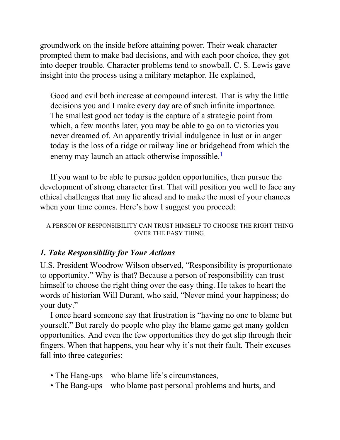groundwork on the inside before attaining power. Their weak character prompted them to make bad decisions, and with each poor choice, they got into deeper trouble. Character problems tend to snowball. C. S. Lewis gave insight into the process using a military metaphor. He explained,

Good and evil both increase at compound interest. That is why the little decisions you and I make every day are of such infinite importance. The smallest good act today is the capture of a strategic point from which, a few months later, you may be able to go on to victories you never dreamed of. An apparently trivial indulgence in lust or in anger today is the loss of a ridge or railway line or bridgehead from which the enemy may launch an attack otherwise impossible.<sup>[1](#page-81-8)</sup>

If you want to be able to pursue golden opportunities, then pursue the development of strong character first. That will position you well to face any ethical challenges that may lie ahead and to make the most of your chances when your time comes. Here's how I suggest you proceed:

A PERSON OF RESPONSIBILITY CAN TRUST HIMSELF TO CHOOSE THE RIGHT THING OVER THE EASY THING.

## *1. Take Responsibility for Your Actions*

U.S. President Woodrow Wilson observed, "Responsibility is proportionate to opportunity." Why is that? Because a person of responsibility can trust himself to choose the right thing over the easy thing. He takes to heart the words of historian Will Durant, who said, "Never mind your happiness; do your duty."

I once heard someone say that frustration is "having no one to blame but yourself." But rarely do people who play the blame game get many golden opportunities. And even the few opportunities they do get slip through their fingers. When that happens, you hear why it's not their fault. Their excuses fall into three categories:

- The Hang-ups—who blame life's circumstances,
- The Bang-ups—who blame past personal problems and hurts, and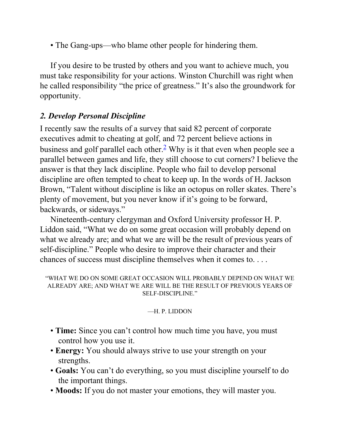• The Gang-ups—who blame other people for hindering them.

If you desire to be trusted by others and you want to achieve much, you must take responsibility for your actions. Winston Churchill was right when he called responsibility "the price of greatness." It's also the groundwork for opportunity.

# *2. Develop Personal Discipline*

I recently saw the results of a survey that said 82 percent of corporate executives admit to cheating at golf, and 72 percent believe actions in business and golf parallel each other.<sup>[2](#page-81-9)</sup> Why is it that even when people see a parallel between games and life, they still choose to cut corners? I believe the answer is that they lack discipline. People who fail to develop personal discipline are often tempted to cheat to keep up. In the words of H. Jackson Brown, "Talent without discipline is like an octopus on roller skates. There's plenty of movement, but you never know if it's going to be forward, backwards, or sideways."

Nineteenth-century clergyman and Oxford University professor H. P. Liddon said, "What we do on some great occasion will probably depend on what we already are; and what we are will be the result of previous years of self-discipline." People who desire to improve their character and their chances of success must discipline themselves when it comes to. . . .

#### "WHAT WE DO ON SOME GREAT OCCASION WILL PROBABLY DEPEND ON WHAT WE ALREADY ARE; AND WHAT WE ARE WILL BE THE RESULT OF PREVIOUS YEARS OF SELF-DISCIPLINE."

#### —H. P. LIDDON

- **Time:** Since you can't control how much time you have, you must control how you use it.
- **Energy:** You should always strive to use your strength on your strengths.
- **Goals:** You can't do everything, so you must discipline yourself to do the important things.
- **Moods:** If you do not master your emotions, they will master you.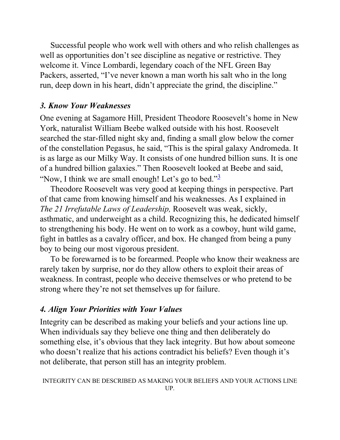Successful people who work well with others and who relish challenges as well as opportunities don't see discipline as negative or restrictive. They welcome it. Vince Lombardi, legendary coach of the NFL Green Bay Packers, asserted, "I've never known a man worth his salt who in the long run, deep down in his heart, didn't appreciate the grind, the discipline."

## *3. Know Your Weaknesses*

One evening at Sagamore Hill, President Theodore Roosevelt's home in New York, naturalist William Beebe walked outside with his host. Roosevelt searched the star-filled night sky and, finding a small glow below the corner of the constellation Pegasus, he said, "This is the spiral galaxy Andromeda. It is as large as our Milky Way. It consists of one hundred billion suns. It is one of a hundred billion galaxies." Then Roosevelt looked at Beebe and said, "Now, I think we are small enough! Let's go to bed." $3$ 

Theodore Roosevelt was very good at keeping things in perspective. Part of that came from knowing himself and his weaknesses. As I explained in *The 21 Irrefutable Laws of Leadership,* Roosevelt was weak, sickly, asthmatic, and underweight as a child. Recognizing this, he dedicated himself to strengthening his body. He went on to work as a cowboy, hunt wild game, fight in battles as a cavalry officer, and box. He changed from being a puny boy to being our most vigorous president.

To be forewarned is to be forearmed. People who know their weakness are rarely taken by surprise, nor do they allow others to exploit their areas of weakness. In contrast, people who deceive themselves or who pretend to be strong where they're not set themselves up for failure.

## *4. Align Your Priorities with Your Values*

Integrity can be described as making your beliefs and your actions line up. When individuals say they believe one thing and then deliberately do something else, it's obvious that they lack integrity. But how about someone who doesn't realize that his actions contradict his beliefs? Even though it's not deliberate, that person still has an integrity problem.

INTEGRITY CAN BE DESCRIBED AS MAKING YOUR BELIEFS AND YOUR ACTIONS LINE UP.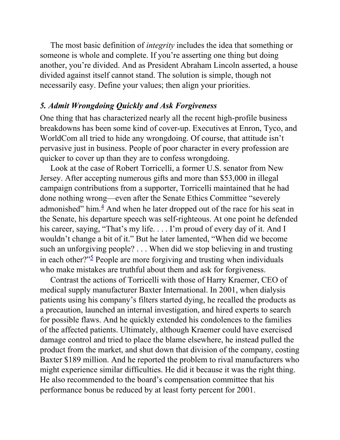The most basic definition of *integrity* includes the idea that something or someone is whole and complete. If you're asserting one thing but doing another, you're divided. And as President Abraham Lincoln asserted, a house divided against itself cannot stand. The solution is simple, though not necessarily easy. Define your values; then align your priorities.

### *5. Admit Wrongdoing Quickly and Ask Forgiveness*

One thing that has characterized nearly all the recent high-profile business breakdowns has been some kind of cover-up. Executives at Enron, Tyco, and WorldCom all tried to hide any wrongdoing. Of course, that attitude isn't pervasive just in business. People of poor character in every profession are quicker to cover up than they are to confess wrongdoing.

Look at the case of Robert Torricelli, a former U.S. senator from New Jersey. After accepting numerous gifts and more than \$53,000 in illegal campaign contributions from a supporter, Torricelli maintained that he had done nothing wrong—even after the Senate Ethics Committee "severely admonished" him.<sup>[4](#page-81-11)</sup> And when he later dropped out of the race for his seat in the Senate, his departure speech was self-righteous. At one point he defended his career, saying, "That's my life. . . . I'm proud of every day of it. And I wouldn't change a bit of it." But he later lamented, "When did we become such an unforgiving people? . . . When did we stop believing in and trusting in each other?" [5](#page-81-12) People are more forgiving and trusting when individuals who make mistakes are truthful about them and ask for forgiveness.

Contrast the actions of Torricelli with those of Harry Kraemer, CEO of medical supply manufacturer Baxter International. In 2001, when dialysis patients using his company's filters started dying, he recalled the products as a precaution, launched an internal investigation, and hired experts to search for possible flaws. And he quickly extended his condolences to the families of the affected patients. Ultimately, although Kraemer could have exercised damage control and tried to place the blame elsewhere, he instead pulled the product from the market, and shut down that division of the company, costing Baxter \$189 million. And he reported the problem to rival manufacturers who might experience similar difficulties. He did it because it was the right thing. He also recommended to the board's compensation committee that his performance bonus be reduced by at least forty percent for 2001.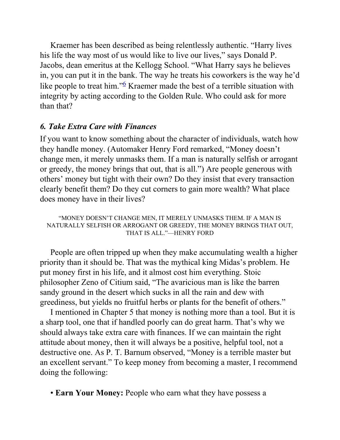Kraemer has been described as being relentlessly authentic. "Harry lives his life the way most of us would like to live our lives," says Donald P. Jacobs, dean emeritus at the Kellogg School. "What Harry says he believes in, you can put it in the bank. The way he treats his coworkers is the way he'd like people to treat him." $\frac{6}{5}$  $\frac{6}{5}$  $\frac{6}{5}$  Kraemer made the best of a terrible situation with integrity by acting according to the Golden Rule. Who could ask for more than that?

# *6. Take Extra Care with Finances*

If you want to know something about the character of individuals, watch how they handle money. (Automaker Henry Ford remarked, "Money doesn't change men, it merely unmasks them. If a man is naturally selfish or arrogant or greedy, the money brings that out, that is all.") Are people generous with others' money but tight with their own? Do they insist that every transaction clearly benefit them? Do they cut corners to gain more wealth? What place does money have in their lives?

"MONEY DOESN'T CHANGE MEN, IT MERELY UNMASKS THEM. IF A MAN IS NATURALLY SELFISH OR ARROGANT OR GREEDY, THE MONEY BRINGS THAT OUT, THAT IS ALL."—HENRY FORD

People are often tripped up when they make accumulating wealth a higher priority than it should be. That was the mythical king Midas's problem. He put money first in his life, and it almost cost him everything. Stoic philosopher Zeno of Citium said, "The avaricious man is like the barren sandy ground in the desert which sucks in all the rain and dew with greediness, but yields no fruitful herbs or plants for the benefit of others."

I mentioned in Chapter 5 that money is nothing more than a tool. But it is a sharp tool, one that if handled poorly can do great harm. That's why we should always take extra care with finances. If we can maintain the right attitude about money, then it will always be a positive, helpful tool, not a destructive one. As P. T. Barnum observed, "Money is a terrible master but an excellent servant." To keep money from becoming a master, I recommend doing the following:

• **Earn Your Money:** People who earn what they have possess a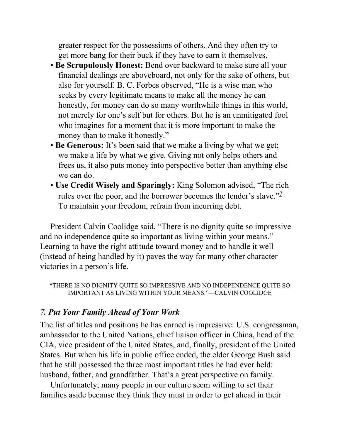greater respect for the possessions of others. And they often try to get more bang for their buck if they have to earn it themselves.

- **Be Scrupulously Honest:** Bend over backward to make sure all your financial dealings are aboveboard, not only for the sake of others, but also for yourself. B. C. Forbes observed, "He is a wise man who seeks by every legitimate means to make all the money he can honestly, for money can do so many worthwhile things in this world, not merely for one's self but for others. But he is an unmitigated fool who imagines for a moment that it is more important to make the money than to make it honestly."
- **Be Generous:** It's been said that we make a living by what we get; we make a life by what we give. Giving not only helps others and frees us, it also puts money into perspective better than anything else we can do.
- **Use Credit Wisely and Sparingly:** King Solomon advised, "The rich rules over the poor, and the borrower becomes the lender's slave."<sup>[7](#page-81-14)</sup> To maintain your freedom, refrain from incurring debt.

President Calvin Coolidge said, "There is no dignity quite so impressive and no independence quite so important as living within your means." Learning to have the right attitude toward money and to handle it well (instead of being handled by it) paves the way for many other character victories in a person's life.

"THERE IS NO DIGNITY QUITE SO IMPRESSIVE AND NO INDEPENDENCE QUITE SO IMPORTANT AS LIVING WITHIN YOUR MEANS."—CALVIN COOLIDGE

# *7. Put Your Family Ahead of Your Work*

The list of titles and positions he has earned is impressive: U.S. congressman, ambassador to the United Nations, chief liaison officer in China, head of the CIA, vice president of the United States, and, finally, president of the United States. But when his life in public office ended, the elder George Bush said that he still possessed the three most important titles he had ever held: husband, father, and grandfather. That's a great perspective on family.

Unfortunately, many people in our culture seem willing to set their families aside because they think they must in order to get ahead in their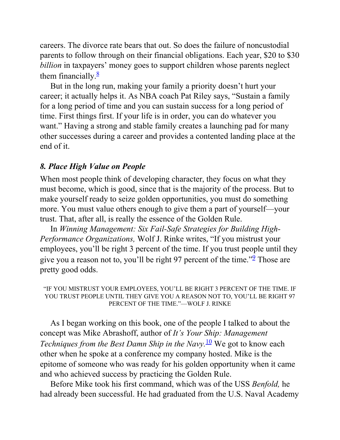careers. The divorce rate bears that out. So does the failure of noncustodial parents to follow through on their financial obligations. Each year, \$20 to \$30 *billion* in taxpayers' money goes to support children whose parents neglect them financially. $\frac{8}{3}$  $\frac{8}{3}$  $\frac{8}{3}$ 

But in the long run, making your family a priority doesn't hurt your career; it actually helps it. As NBA coach Pat Riley says, "Sustain a family for a long period of time and you can sustain success for a long period of time. First things first. If your life is in order, you can do whatever you want." Having a strong and stable family creates a launching pad for many other successes during a career and provides a contented landing place at the end of it.

# *8. Place High Value on People*

When most people think of developing character, they focus on what they must become, which is good, since that is the majority of the process. But to make yourself ready to seize golden opportunities, you must do something more. You must value others enough to give them a part of yourself—your trust. That, after all, is really the essence of the Golden Rule.

In *Winning Management: Six Fail-Safe Strategies for Building High-Performance Organizations,* Wolf J. Rinke writes, "If you mistrust your employees, you'll be right 3 percent of the time. If you trust people until they give you a reason not to, you'll be right [9](#page-81-16)7 percent of the time."<sup>2</sup> Those are pretty good odds.

"IF YOU MISTRUST YOUR EMPLOYEES, YOU'LL BE RIGHT 3 PERCENT OF THE TIME. IF YOU TRUST PEOPLE UNTIL THEY GIVE YOU A REASON NOT TO, YOU'LL BE RIGHT 97 PERCENT OF THE TIME."—WOLF J. RINKE

As I began working on this book, one of the people I talked to about the concept was Mike Abrashoff, author of *It's Your Ship: Management Techniques from the Best Damn Ship in the Navy.* [10](#page-81-17) We got to know each other when he spoke at a conference my company hosted. Mike is the epitome of someone who was ready for his golden opportunity when it came and who achieved success by practicing the Golden Rule.

Before Mike took his first command, which was of the USS *Benfold,* he had already been successful. He had graduated from the U.S. Naval Academy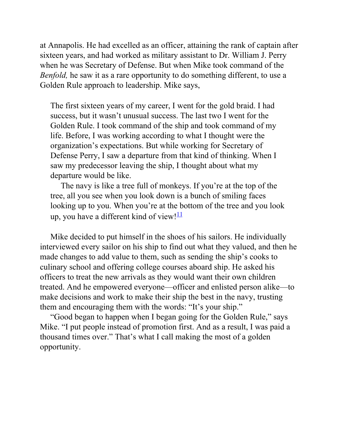at Annapolis. He had excelled as an officer, attaining the rank of captain after sixteen years, and had worked as military assistant to Dr. William J. Perry when he was Secretary of Defense. But when Mike took command of the *Benfold,* he saw it as a rare opportunity to do something different, to use a Golden Rule approach to leadership. Mike says,

The first sixteen years of my career, I went for the gold braid. I had success, but it wasn't unusual success. The last two I went for the Golden Rule. I took command of the ship and took command of my life. Before, I was working according to what I thought were the organization's expectations. But while working for Secretary of Defense Perry, I saw a departure from that kind of thinking. When I saw my predecessor leaving the ship, I thought about what my departure would be like.

The navy is like a tree full of monkeys. If you're at the top of the tree, all you see when you look down is a bunch of smiling faces looking up to you. When you're at the bottom of the tree and you look up, you have a different kind of view!<sup>[11](#page-81-18)</sup>

Mike decided to put himself in the shoes of his sailors. He individually interviewed every sailor on his ship to find out what they valued, and then he made changes to add value to them, such as sending the ship's cooks to culinary school and offering college courses aboard ship. He asked his officers to treat the new arrivals as they would want their own children treated. And he empowered everyone—officer and enlisted person alike—to make decisions and work to make their ship the best in the navy, trusting them and encouraging them with the words: "It's your ship."

"Good began to happen when I began going for the Golden Rule," says Mike. "I put people instead of promotion first. And as a result, I was paid a thousand times over." That's what I call making the most of a golden opportunity.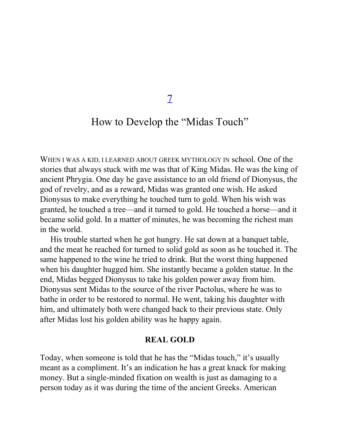[7](#page-1-2)

# How to Develop the "Midas Touch"

WHEN I WAS A KID, I LEARNED ABOUT GREEK MYTHOLOGY IN school. One of the stories that always stuck with me was that of King Midas. He was the king of ancient Phrygia. One day he gave assistance to an old friend of Dionysus, the god of revelry, and as a reward, Midas was granted one wish. He asked Dionysus to make everything he touched turn to gold. When his wish was granted, he touched a tree—and it turned to gold. He touched a horse—and it became solid gold. In a matter of minutes, he was becoming the richest man in the world.

His trouble started when he got hungry. He sat down at a banquet table, and the meat he reached for turned to solid gold as soon as he touched it. The same happened to the wine he tried to drink. But the worst thing happened when his daughter hugged him. She instantly became a golden statue. In the end, Midas begged Dionysus to take his golden power away from him. Dionysus sent Midas to the source of the river Pactolus, where he was to bathe in order to be restored to normal. He went, taking his daughter with him, and ultimately both were changed back to their previous state. Only after Midas lost his golden ability was he happy again.

### **REAL GOLD**

Today, when someone is told that he has the "Midas touch," it's usually meant as a compliment. It's an indication he has a great knack for making money. But a single-minded fixation on wealth is just as damaging to a person today as it was during the time of the ancient Greeks. American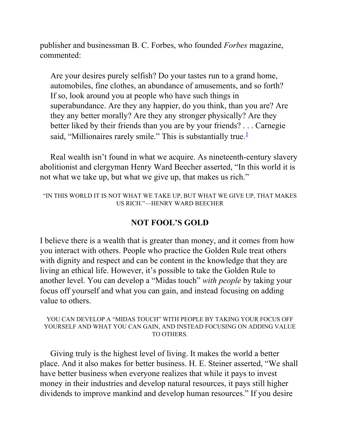publisher and businessman B. C. Forbes, who founded *Forbes* magazine, commented:

Are your desires purely selfish? Do your tastes run to a grand home, automobiles, fine clothes, an abundance of amusements, and so forth? If so, look around you at people who have such things in superabundance. Are they any happier, do you think, than you are? Are they any better morally? Are they any stronger physically? Are they better liked by their friends than you are by your friends? . . . Carnegie said, "Millionaires rarely smile." This is substantially true. $<sup>1</sup>$  $<sup>1</sup>$  $<sup>1</sup>$ </sup>

Real wealth isn't found in what we acquire. As nineteenth-century slavery abolitionist and clergyman Henry Ward Beecher asserted, "In this world it is not what we take up, but what we give up, that makes us rich."

"IN THIS WORLD IT IS NOT WHAT WE TAKE UP, BUT WHAT WE GIVE UP, THAT MAKES US RICH."—HENRY WARD BEECHER

# **NOT FOOL'S GOLD**

I believe there is a wealth that is greater than money, and it comes from how you interact with others. People who practice the Golden Rule treat others with dignity and respect and can be content in the knowledge that they are living an ethical life. However, it's possible to take the Golden Rule to another level. You can develop a "Midas touch" *with people* by taking your focus off yourself and what you can gain, and instead focusing on adding value to others.

#### YOU CAN DEVELOP A "MIDAS TOUCH" WITH PEOPLE BY TAKING YOUR FOCUS OFF YOURSELF AND WHAT YOU CAN GAIN, AND INSTEAD FOCUSING ON ADDING VALUE TO OTHERS.

Giving truly is the highest level of living. It makes the world a better place. And it also makes for better business. H. E. Steiner asserted, "We shall have better business when everyone realizes that while it pays to invest money in their industries and develop natural resources, it pays still higher dividends to improve mankind and develop human resources." If you desire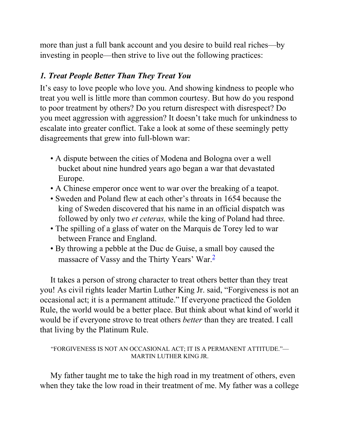more than just a full bank account and you desire to build real riches—by investing in people—then strive to live out the following practices:

# *1. Treat People Better Than They Treat You*

It's easy to love people who love you. And showing kindness to people who treat you well is little more than common courtesy. But how do you respond to poor treatment by others? Do you return disrespect with disrespect? Do you meet aggression with aggression? It doesn't take much for unkindness to escalate into greater conflict. Take a look at some of these seemingly petty disagreements that grew into full-blown war:

- A dispute between the cities of Modena and Bologna over a well bucket about nine hundred years ago began a war that devastated Europe.
- A Chinese emperor once went to war over the breaking of a teapot.
- Sweden and Poland flew at each other's throats in 1654 because the king of Sweden discovered that his name in an official dispatch was followed by only two *et ceteras,* while the king of Poland had three.
- The spilling of a glass of water on the Marquis de Torey led to war between France and England.
- By throwing a pebble at the Duc de Guise, a small boy caused the massacre of Vassy and the Thirty Years' War.<sup>[2](#page-82-1)</sup>

It takes a person of strong character to treat others better than they treat you! As civil rights leader Martin Luther King Jr. said, "Forgiveness is not an occasional act; it is a permanent attitude." If everyone practiced the Golden Rule, the world would be a better place. But think about what kind of world it would be if everyone strove to treat others *better* than they are treated. I call that living by the Platinum Rule.

#### "FORGIVENESS IS NOT AN OCCASIONAL ACT; IT IS A PERMANENT ATTITUDE."— MARTIN LUTHER KING JR.

My father taught me to take the high road in my treatment of others, even when they take the low road in their treatment of me. My father was a college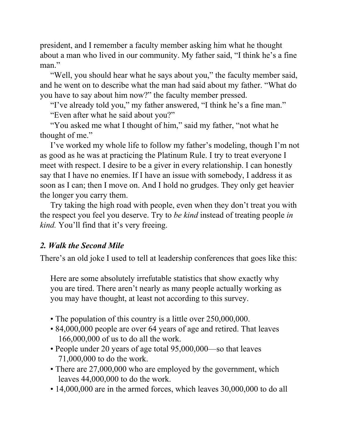president, and I remember a faculty member asking him what he thought about a man who lived in our community. My father said, "I think he's a fine man."

"Well, you should hear what he says about you," the faculty member said, and he went on to describe what the man had said about my father. "What do you have to say about him now?" the faculty member pressed.

"I've already told you," my father answered, "I think he's a fine man." "Even after what he said about you?"

"You asked me what I thought of him," said my father, "not what he thought of me."

I've worked my whole life to follow my father's modeling, though I'm not as good as he was at practicing the Platinum Rule. I try to treat everyone I meet with respect. I desire to be a giver in every relationship. I can honestly say that I have no enemies. If I have an issue with somebody, I address it as soon as I can; then I move on. And I hold no grudges. They only get heavier the longer you carry them.

Try taking the high road with people, even when they don't treat you with the respect you feel you deserve. Try to *be kind* instead of treating people *in kind.* You'll find that it's very freeing.

## *2. Walk the Second Mile*

There's an old joke I used to tell at leadership conferences that goes like this:

Here are some absolutely irrefutable statistics that show exactly why you are tired. There aren't nearly as many people actually working as you may have thought, at least not according to this survey.

- The population of this country is a little over 250,000,000.
- 84,000,000 people are over 64 years of age and retired. That leaves 166,000,000 of us to do all the work.
- People under 20 years of age total 95,000,000—so that leaves 71,000,000 to do the work.
- There are 27,000,000 who are employed by the government, which leaves 44,000,000 to do the work.
- 14,000,000 are in the armed forces, which leaves 30,000,000 to do all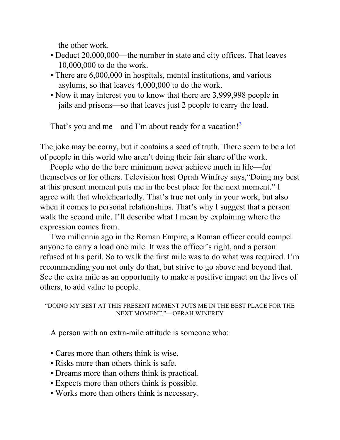the other work.

- Deduct 20,000,000—the number in state and city offices. That leaves 10,000,000 to do the work.
- There are 6,000,000 in hospitals, mental institutions, and various asylums, so that leaves 4,000,000 to do the work.
- Now it may interest you to know that there are 3,999,998 people in jails and prisons—so that leaves just 2 people to carry the load.

That's you and me—and I'm about ready for a vacation!<sup>[3](#page-82-2)</sup>

The joke may be corny, but it contains a seed of truth. There seem to be a lot of people in this world who aren't doing their fair share of the work.

People who do the bare minimum never achieve much in life—for themselves or for others. Television host Oprah Winfrey says,"Doing my best at this present moment puts me in the best place for the next moment." I agree with that wholeheartedly. That's true not only in your work, but also when it comes to personal relationships. That's why I suggest that a person walk the second mile. I'll describe what I mean by explaining where the expression comes from.

Two millennia ago in the Roman Empire, a Roman officer could compel anyone to carry a load one mile. It was the officer's right, and a person refused at his peril. So to walk the first mile was to do what was required. I'm recommending you not only do that, but strive to go above and beyond that. See the extra mile as an opportunity to make a positive impact on the lives of others, to add value to people.

"DOING MY BEST AT THIS PRESENT MOMENT PUTS ME IN THE BEST PLACE FOR THE NEXT MOMENT."—OPRAH WINFREY

A person with an extra-mile attitude is someone who:

- Cares more than others think is wise.
- Risks more than others think is safe.
- Dreams more than others think is practical.
- Expects more than others think is possible.
- Works more than others think is necessary.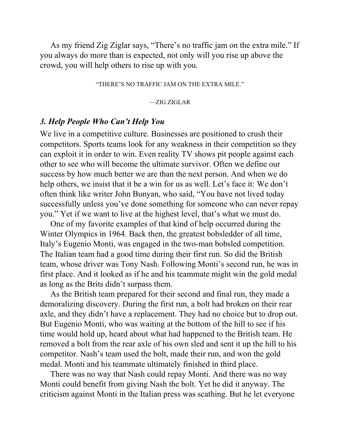As my friend Zig Ziglar says, "There's no traffic jam on the extra mile." If you always do more than is expected, not only will you rise up above the crowd, you will help others to rise up with you.

"THERE'S NO TRAFFIC JAM ON THE EXTRA MILE."

#### —ZIG ZIGLAR

#### *3. Help People Who Can't Help You*

We live in a competitive culture. Businesses are positioned to crush their competitors. Sports teams look for any weakness in their competition so they can exploit it in order to win. Even reality TV shows pit people against each other to see who will become the ultimate survivor. Often we define our success by how much better we are than the next person. And when we do help others, we insist that it be a win for us as well. Let's face it: We don't often think like writer John Bunyan, who said, "You have not lived today successfully unless you've done something for someone who can never repay you." Yet if we want to live at the highest level, that's what we must do.

One of my favorite examples of that kind of help occurred during the Winter Olympics in 1964. Back then, the greatest bobsledder of all time, Italy's Eugenio Monti, was engaged in the two-man bobsled competition. The Italian team had a good time during their first run. So did the British team, whose driver was Tony Nash. Following Monti's second run, he was in first place. And it looked as if he and his teammate might win the gold medal as long as the Brits didn't surpass them.

As the British team prepared for their second and final run, they made a demoralizing discovery. During the first run, a bolt had broken on their rear axle, and they didn't have a replacement. They had no choice but to drop out. But Eugenio Monti, who was waiting at the bottom of the hill to see if his time would hold up, heard about what had happened to the British team. He removed a bolt from the rear axle of his own sled and sent it up the hill to his competitor. Nash's team used the bolt, made their run, and won the gold medal. Monti and his teammate ultimately finished in third place.

There was no way that Nash could repay Monti. And there was no way Monti could benefit from giving Nash the bolt. Yet he did it anyway. The criticism against Monti in the Italian press was scathing. But he let everyone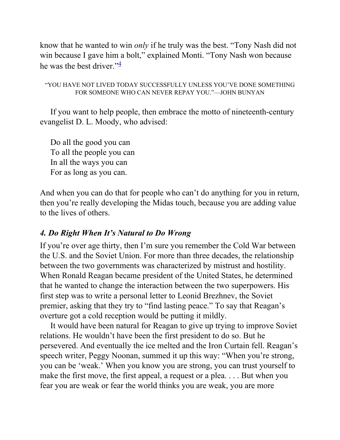know that he wanted to win *only* if he truly was the best. "Tony Nash did not win because I gave him a bolt," explained Monti. "Tony Nash won because he was the best driver."<sup>[4](#page-82-3)</sup>

"YOU HAVE NOT LIVED TODAY SUCCESSFULLY UNLESS YOU'VE DONE SOMETHING FOR SOMEONE WHO CAN NEVER REPAY YOU."—JOHN BUNYAN

If you want to help people, then embrace the motto of nineteenth-century evangelist D. L. Moody, who advised:

Do all the good you can To all the people you can In all the ways you can For as long as you can.

And when you can do that for people who can't do anything for you in return, then you're really developing the Midas touch, because you are adding value to the lives of others.

# *4. Do Right When It's Natural to Do Wrong*

If you're over age thirty, then I'm sure you remember the Cold War between the U.S. and the Soviet Union. For more than three decades, the relationship between the two governments was characterized by mistrust and hostility. When Ronald Reagan became president of the United States, he determined that he wanted to change the interaction between the two superpowers. His first step was to write a personal letter to Leonid Brezhnev, the Soviet premier, asking that they try to "find lasting peace." To say that Reagan's overture got a cold reception would be putting it mildly.

It would have been natural for Reagan to give up trying to improve Soviet relations. He wouldn't have been the first president to do so. But he persevered. And eventually the ice melted and the Iron Curtain fell. Reagan's speech writer, Peggy Noonan, summed it up this way: "When you're strong, you can be 'weak.' When you know you are strong, you can trust yourself to make the first move, the first appeal, a request or a plea. . . . But when you fear you are weak or fear the world thinks you are weak, you are more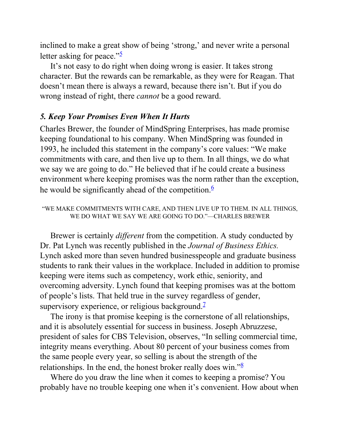inclined to make a great show of being 'strong,' and never write a personal letter asking for peace."<sup>[5](#page-82-4)</sup>

It's not easy to do right when doing wrong is easier. It takes strong character. But the rewards can be remarkable, as they were for Reagan. That doesn't mean there is always a reward, because there isn't. But if you do wrong instead of right, there *cannot* be a good reward.

## *5. Keep Your Promises Even When It Hurts*

Charles Brewer, the founder of MindSpring Enterprises, has made promise keeping foundational to his company. When MindSpring was founded in 1993, he included this statement in the company's core values: "We make commitments with care, and then live up to them. In all things, we do what we say we are going to do." He believed that if he could create a business environment where keeping promises was the norm rather than the exception, he would be significantly ahead of the competition.<sup>[6](#page-82-5)</sup>

"WE MAKE COMMITMENTS WITH CARE, AND THEN LIVE UP TO THEM. IN ALL THINGS, WE DO WHAT WE SAY WE ARE GOING TO DO."—CHARLES BREWER

Brewer is certainly *different* from the competition. A study conducted by Dr. Pat Lynch was recently published in the *Journal of Business Ethics.* Lynch asked more than seven hundred businesspeople and graduate business students to rank their values in the workplace. Included in addition to promise keeping were items such as competency, work ethic, seniority, and overcoming adversity. Lynch found that keeping promises was at the bottom of people's lists. That held true in the survey regardless of gender, supervisory experience, or religious background.<sup>[7](#page-82-6)</sup>

The irony is that promise keeping is the cornerstone of all relationships, and it is absolutely essential for success in business. Joseph Abruzzese, president of sales for CBS Television, observes, "In selling commercial time, integrity means everything. About 80 percent of your business comes from the same people every year, so selling is about the strength of the relationships. In the end, the honest broker really does win." $\frac{3}{5}$ 

Where do you draw the line when it comes to keeping a promise? You probably have no trouble keeping one when it's convenient. How about when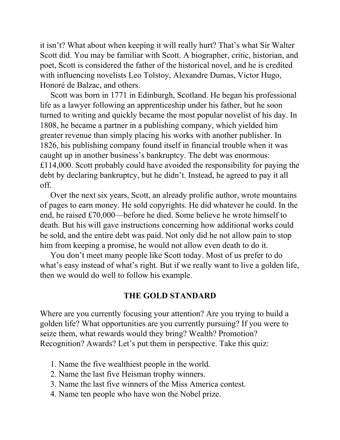it isn't? What about when keeping it will really hurt? That's what Sir Walter Scott did. You may be familiar with Scott. A biographer, critic, historian, and poet, Scott is considered the father of the historical novel, and he is credited with influencing novelists Leo Tolstoy, Alexandre Dumas, Victor Hugo, Honoré de Balzac, and others.

Scott was born in 1771 in Edinburgh, Scotland. He began his professional life as a lawyer following an apprenticeship under his father, but he soon turned to writing and quickly became the most popular novelist of his day. In 1808, he became a partner in a publishing company, which yielded him greater revenue than simply placing his works with another publisher. In 1826, his publishing company found itself in financial trouble when it was caught up in another business's bankruptcy. The debt was enormous: £114,000. Scott probably could have avoided the responsibility for paying the debt by declaring bankruptcy, but he didn't. Instead, he agreed to pay it all off.

Over the next six years, Scott, an already prolific author, wrote mountains of pages to earn money. He sold copyrights. He did whatever he could. In the end, he raised £70,000—before he died. Some believe he wrote himself to death. But his will gave instructions concerning how additional works could be sold, and the entire debt was paid. Not only did he not allow pain to stop him from keeping a promise, he would not allow even death to do it.

You don't meet many people like Scott today. Most of us prefer to do what's easy instead of what's right. But if we really want to live a golden life, then we would do well to follow his example.

# **THE GOLD STANDARD**

Where are you currently focusing your attention? Are you trying to build a golden life? What opportunities are you currently pursuing? If you were to seize them, what rewards would they bring? Wealth? Promotion? Recognition? Awards? Let's put them in perspective. Take this quiz:

- 1. Name the five wealthiest people in the world.
- 2. Name the last five Heisman trophy winners.
- 3. Name the last five winners of the Miss America contest.
- 4. Name ten people who have won the Nobel prize.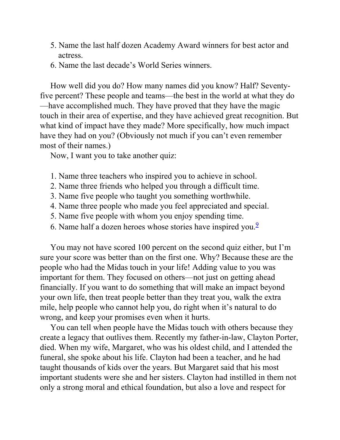- 5. Name the last half dozen Academy Award winners for best actor and actress.
- 6. Name the last decade's World Series winners.

How well did you do? How many names did you know? Half? Seventyfive percent? These people and teams—the best in the world at what they do —have accomplished much. They have proved that they have the magic touch in their area of expertise, and they have achieved great recognition. But what kind of impact have they made? More specifically, how much impact have they had on you? (Obviously not much if you can't even remember most of their names.)

Now, I want you to take another quiz:

- 1. Name three teachers who inspired you to achieve in school.
- 2. Name three friends who helped you through a difficult time.
- 3. Name five people who taught you something worthwhile.
- 4. Name three people who made you feel appreciated and special.
- 5. Name five people with whom you enjoy spending time.
- 6. Name half a dozen heroes whose stories have inspired you. $9$

You may not have scored 100 percent on the second quiz either, but I'm sure your score was better than on the first one. Why? Because these are the people who had the Midas touch in your life! Adding value to you was important for them. They focused on others—not just on getting ahead financially. If you want to do something that will make an impact beyond your own life, then treat people better than they treat you, walk the extra mile, help people who cannot help you, do right when it's natural to do wrong, and keep your promises even when it hurts.

You can tell when people have the Midas touch with others because they create a legacy that outlives them. Recently my father-in-law, Clayton Porter, died. When my wife, Margaret, who was his oldest child, and I attended the funeral, she spoke about his life. Clayton had been a teacher, and he had taught thousands of kids over the years. But Margaret said that his most important students were she and her sisters. Clayton had instilled in them not only a strong moral and ethical foundation, but also a love and respect for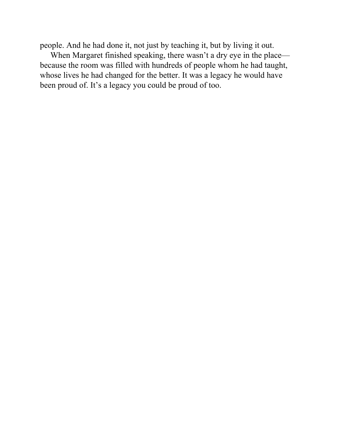people. And he had done it, not just by teaching it, but by living it out.

When Margaret finished speaking, there wasn't a dry eye in the place because the room was filled with hundreds of people whom he had taught, whose lives he had changed for the better. It was a legacy he would have been proud of. It's a legacy you could be proud of too.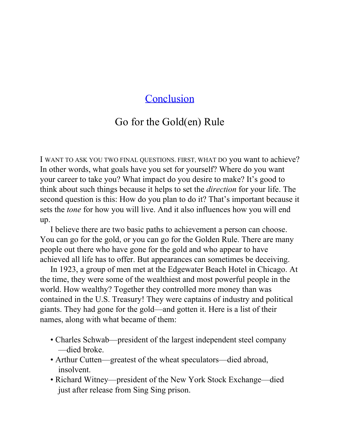# **[Conclusion](#page-1-0)**

# Go for the Gold(en) Rule

I WANT TO ASK YOU TWO FINAL QUESTIONS. FIRST, WHAT DO you want to achieve? In other words, what goals have you set for yourself? Where do you want your career to take you? What impact do you desire to make? It's good to think about such things because it helps to set the *direction* for your life. The second question is this: How do you plan to do it? That's important because it sets the *tone* for how you will live. And it also influences how you will end up.

I believe there are two basic paths to achievement a person can choose. You can go for the gold, or you can go for the Golden Rule. There are many people out there who have gone for the gold and who appear to have achieved all life has to offer. But appearances can sometimes be deceiving.

In 1923, a group of men met at the Edgewater Beach Hotel in Chicago. At the time, they were some of the wealthiest and most powerful people in the world. How wealthy? Together they controlled more money than was contained in the U.S. Treasury! They were captains of industry and political giants. They had gone for the gold—and gotten it. Here is a list of their names, along with what became of them:

- Charles Schwab—president of the largest independent steel company —died broke.
- Arthur Cutten—greatest of the wheat speculators—died abroad, insolvent.
- Richard Witney—president of the New York Stock Exchange—died just after release from Sing Sing prison.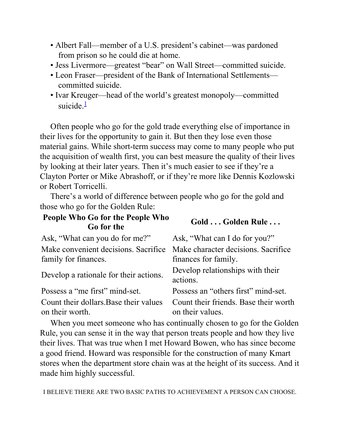- Albert Fall—member of a U.S. president's cabinet—was pardoned from prison so he could die at home.
- Jess Livermore—greatest "bear" on Wall Street—committed suicide.
- Leon Fraser—president of the Bank of International Settlements committed suicide.
- <span id="page-74-0"></span>• Ivar Kreuger—head of the world's greatest monopoly—committed suicide.<sup>[1](#page-82-0)</sup>

Often people who go for the gold trade everything else of importance in their lives for the opportunity to gain it. But then they lose even those material gains. While short-term success may come to many people who put the acquisition of wealth first, you can best measure the quality of their lives by looking at their later years. Then it's much easier to see if they're a Clayton Porter or Mike Abrashoff, or if they're more like Dennis Kozlowski or Robert Torricelli.

There's a world of difference between people who go for the gold and those who go for the Golden Rule:

| People Who Go for the People Who<br>Go for the               | Gold  Golden Rule                                           |
|--------------------------------------------------------------|-------------------------------------------------------------|
| Ask, "What can you do for me?"                               | Ask, "What can I do for you?"                               |
| Make convenient decisions. Sacrifice<br>family for finances. | Make character decisions. Sacrifice<br>finances for family. |
| Develop a rationale for their actions.                       | Develop relationships with their<br>actions.                |
| Possess a "me first" mind-set.                               | Possess an "others first" mind-set.                         |
| Count their dollars. Base their values<br>on their worth.    | Count their friends. Base their worth<br>on their values.   |

When you meet someone who has continually chosen to go for the Golden Rule, you can sense it in the way that person treats people and how they live their lives. That was true when I met Howard Bowen, who has since become a good friend. Howard was responsible for the construction of many Kmart stores when the department store chain was at the height of its success. And it made him highly successful.

I BELIEVE THERE ARE TWO BASIC PATHS TO ACHIEVEMENT A PERSON CAN CHOOSE.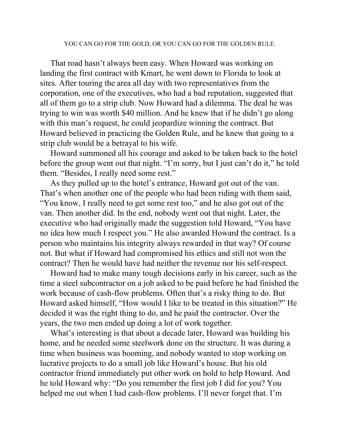#### YOU CAN GO FOR THE GOLD, OR YOU CAN GO FOR THE GOLDEN RULE.

That road hasn't always been easy. When Howard was working on landing the first contract with Kmart, he went down to Florida to look at sites. After touring the area all day with two representatives from the corporation, one of the executives, who had a bad reputation, suggested that all of them go to a strip club. Now Howard had a dilemma. The deal he was trying to win was worth \$40 million. And he knew that if he didn't go along with this man's request, he could jeopardize winning the contract. But Howard believed in practicing the Golden Rule, and he knew that going to a strip club would be a betrayal to his wife.

Howard summoned all his courage and asked to be taken back to the hotel before the group went out that night. "I'm sorry, but I just can't do it," he told them. "Besides, I really need some rest."

As they pulled up to the hotel's entrance, Howard got out of the van. That's when another one of the people who had been riding with them said, "You know, I really need to get some rest too," and he also got out of the van. Then another did. In the end, nobody went out that night. Later, the executive who had originally made the suggestion told Howard, "You have no idea how much I respect you." He also awarded Howard the contract. Is a person who maintains his integrity always rewarded in that way? Of course not. But what if Howard had compromised his ethics and still not won the contract? Then he would have had neither the revenue nor his self-respect.

Howard had to make many tough decisions early in his career, such as the time a steel subcontractor on a job asked to be paid before he had finished the work because of cash-flow problems. Often that's a risky thing to do. But Howard asked himself, "How would I like to be treated in this situation?" He decided it was the right thing to do, and he paid the contractor. Over the years, the two men ended up doing a lot of work together.

What's interesting is that about a decade later, Howard was building his home, and he needed some steelwork done on the structure. It was during a time when business was booming, and nobody wanted to stop working on lucrative projects to do a small job like Howard's house. But his old contractor friend immediately put other work on hold to help Howard. And he told Howard why: "Do you remember the first job I did for you? You helped me out when I had cash-flow problems. I'll never forget that. I'm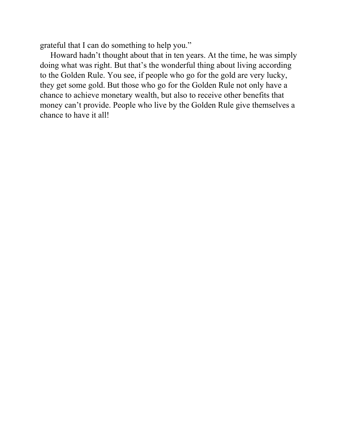grateful that I can do something to help you."

Howard hadn't thought about that in ten years. At the time, he was simply doing what was right. But that's the wonderful thing about living according to the Golden Rule. You see, if people who go for the gold are very lucky, they get some gold. But those who go for the Golden Rule not only have a chance to achieve monetary wealth, but also to receive other benefits that money can't provide. People who live by the Golden Rule give themselves a chance to have it all!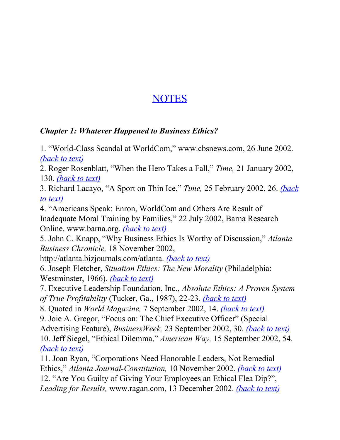# **[NOTES](#page-1-1)**

## *Chapter 1: Whatever Happened to Business Ethics?*

1. "World-Class Scandal at WorldCom," www.cbsnews.com, 26 June 2002. *[\(back](#page-5-0) to text)*

2. Roger Rosenblatt, "When the Hero Takes a Fall," *Time,* 21 January 2002, 130. *[\(back](#page-5-1) to text)*

3. Richard Lacayo, "A Sport on Thin Ice," *Time,* 25 [February](#page-5-2) 2002, 26. *(back to text)*

4. "Americans Speak: Enron, WorldCom and Others Are Result of Inadequate Moral Training by Families," 22 July 2002, Barna Research Online, www.barna.org. *[\(back](#page-5-3) to text)*

5. John C. Knapp, "Why Business Ethics Is Worthy of Discussion," *Atlanta Business Chronicle,* 18 November 2002,

http://atlanta.bizjournals.com/atlanta. *[\(back](#page-7-0) to text)*

6. Joseph Fletcher, *Situation Ethics: The New Morality* (Philadelphia: Westminster, 1966). *[\(back](#page-8-0) to text)*

7. Executive Leadership Foundation, Inc., *Absolute Ethics: A Proven System of True Profitability* (Tucker, Ga., 1987), 22-23. *[\(back](#page-8-1) to text)*

8. Quoted in *World Magazine,* 7 September 2002, 14. *[\(back](#page-8-2) to text)*

9. Joie A. Gregor, "Focus on: The Chief Executive Officer" (Special

Advertising Feature), *BusinessWeek,* 23 September 2002, 30. *[\(back](#page-8-3) to text)*

10. Jeff Siegel, "Ethical Dilemma," *American Way,* 15 September 2002, 54. *[\(back](#page-9-0) to text)*

11. Joan Ryan, "Corporations Need Honorable Leaders, Not Remedial Ethics," *Atlanta Journal-Constitution,* 10 November 2002. *[\(back](#page-10-0) to text)* 12. "Are You Guilty of Giving Your Employees an Ethical Flea Dip?", *Leading for Results,* www.ragan.com, 13 December 2002. *[\(back](#page-10-1) to text)*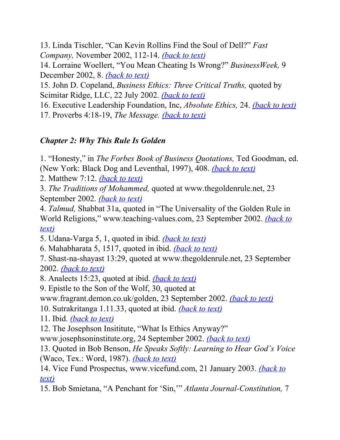13. Linda Tischler, "Can Kevin Rollins Find the Soul of Dell?" *Fast Company,* November 2002, 112-14. *[\(back](#page-10-2) to text)*

14. Lorraine Woellert, "You Mean Cheating Is Wrong?" *BusinessWeek,* 9 December 2002, 8. *[\(back](#page-11-0) to text)*

15. John D. Copeland, *Business Ethics: Three Critical Truths,* quoted by Scimitar Ridge, LLC, 22 July 2002. *[\(back](#page-11-1) to text)*

16. Executive Leadership Foundation, Inc, *Absolute Ethics,* 24. *[\(back](#page-11-2) to text)* 17. Proverbs 4:18-19, *The Message. [\(back](#page-12-0) to text)*

#### *Chapter 2: Why This Rule Is Golden*

1. "Honesty," in *The Forbes Book of Business Quotations,* Ted Goodman, ed. (New York: Black Dog and Leventhal, 1997), 408. *[\(back](#page-14-0) to text)*

- 2. Matthew 7:12. *[\(back](#page-16-0) to text)*
- 3. *The Traditions of Mohammed,* quoted at www.thegoldenrule.net, 23 September 2002. *[\(back](#page-16-1) to text)*
- 4. *Talmud,* Shabbat 31a, quoted in "The Universality of the Golden Rule in World Religions," [www.teaching-values.com,](#page-16-2) 23 September 2002. *(back to text)*
- 5. Udana-Varga 5, 1, quoted in ibid. *[\(back](#page-16-3) to text)*
- 6. Mahabharata 5, 1517, quoted in ibid. *[\(back](#page-16-4) to text)*
- 7. Shast-na-shayast 13:29, quoted at www.thegoldenrule.net, 23 September 2002. *[\(back](#page-16-5) to text)*
- 8. Analects 15:23, quoted at ibid. *[\(back](#page-16-6) to text)*
- 9. Epistle to the Son of the Wolf, 30, quoted at
- www.fragrant.demon.co.uk/golden, 23 September 2002. *[\(back](#page-16-7) to text)*
- 10. Sutrakritanga 1.11.33, quoted at ibid. *[\(back](#page-16-8) to text)*
- 11. Ibid. *[\(back](#page-16-9) to text)*
- 12. The Josephson Insititute, "What Is Ethics Anyway?"
- www.josephsoninstitute.org, 24 September 2002. *[\(back](#page-17-0) to text)*
- 13. Quoted in Bob Benson, *He Speaks Softly: Learning to Hear God's Voice* (Waco, Tex.: Word, 1987). *[\(back](#page-19-0) to text)*
- 14. Vice Fund Prospectus, [www.vicefund.com,](#page-19-1) 21 January 2003. *(back to text)*
- 15. Bob Smietana, "A Penchant for 'Sin,'" *Atlanta Journal-Constitution,* 7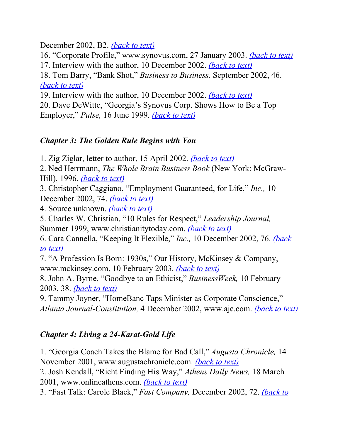December 2002, B2. *[\(back](#page-20-0) to text)*

16. "Corporate Profile," www.synovus.com, 27 January 2003. *[\(back](#page-21-0) to text)*

17. Interview with the author, 10 December 2002. *[\(back](#page-22-0) to text)*

18. Tom Barry, "Bank Shot," *Business to Business,* September 2002, 46. *[\(back](#page-22-1) to text)*

19. Interview with the author, 10 December 2002. *[\(back](#page-22-2) to text)*

20. Dave DeWitte, "Georgia's Synovus Corp. Shows How to Be a Top Employer," *Pulse,* 16 June 1999. *[\(back](#page-22-3) to text)*

## *Chapter 3: The Golden Rule Begins with You*

1. Zig Ziglar, letter to author, 15 April 2002. *[\(back](#page-23-0) to text)*

2. Ned Herrmann, *The Whole Brain Business Book* (New York: M[cGraw-](#page-37-0)Hill), 1996. *[\(back](#page-24-0) to text)*

3. Christopher Caggiano, "Employment Guaranteed, for Life," *Inc.,* 10 December 2002, 74. *[\(back](#page-25-0) to text)*

4. Source unknown. *[\(back](#page-26-0) to text)*

5. Charles W. Christian, "10 Rules for Respect," *Leadership Journal,* Summer 1999, www.christianitytoday.com. *[\(back](#page-28-0) to text)*

6. Cara Cannella, "Keeping It Flexible," *Inc.,* 10 [December](#page-28-1) 2002, 76. *(back to text)*

7. "A Profession Is Born: 1930s," Our History, McKinsey & Company, www.mckinsey.com, 10 February 2003. *[\(back](#page-30-0) to text)*

8. John A. Byrne, "Goodbye to an Ethicist," *BusinessWeek,* 10 February 2003, 38. *[\(back](#page-30-1) to text)*

9. Tammy Joyner, "HomeBanc Taps Minister as Corporate Conscience," *Atlanta Journal-Constitution,* 4 December 2002, www.ajc.com. *[\(back](#page-31-0) to text)*

# *Chapter 4: Living a 24-Karat-Gold Life*

1. "Georgia Coach Takes the Blame for Bad Call," *Augusta Chronicle,* 14 November 2001, www.augustachronicle.com. *[\(back](#page-33-0) to text)*

2. Josh Kendall, "Richt Finding His Way," *Athens Daily News,* 18 March 2001, www.onlineathens.com. *[\(back](#page-33-1) to text)*

3. "Fast Talk: Carole Black," *Fast Company,* December 2002, 72. *(back to*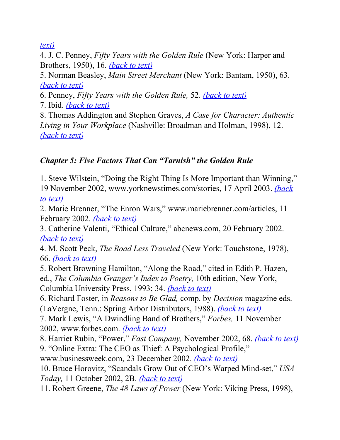*text)*

4. J. C. Penney, *Fifty Years with the Golden Rule* (New York: Harper and Brothers, 1950), 16. *[\(back](#page-39-0) to text)*

5. Norman Beasley, *Main Street Merchant* (New York: Bantam, 1950), 63. *[\(back](#page-40-0) to text)*

6. Penney, *Fifty Years with the Golden Rule,* 52. *[\(back](#page-40-1) to text)*

7. Ibid. *[\(back](#page-40-2) to text)*

8. Thomas Addington and Stephen Graves, *A Case for Character: Authentic Living in Your Workplace* (Nashville: Broadman and Holman, 1998), 12. *[\(back](#page-40-3) to text)*

## *Chapter 5: Five Factors That Can "Tarnish" the Golden Rule*

1. Steve Wilstein, "Doing the Right Thing Is More Important than Winning," 19 November 2002, [www.yorknewstimes.com/stories,](#page-43-0) 17 April 2003. *(back to text)*

2. Marie Brenner, "The Enron Wars," www.mariebrenner.com/articles, 11 February 2002. *[\(back](#page-43-1) to text)*

3. Catherine Valenti, "Ethical Culture," abcnews.com, 20 February 2002. *[\(back](#page-44-0) to text)*

4. M. Scott Peck, *The Road Less Traveled* (New York: Touchstone, 1978), 66. *[\(back](#page-45-0) to text)*

5. Robert Browning Hamilton, "Along the Road," cited in Edith P. Hazen, ed., *The Columbia Granger's Index to Poetry,* 10th edition, New York, Columbia University Press, 1993; 34. *[\(back](#page-46-0) to text)*

6. Richard Foster, in *Reasons to Be Glad,* comp. by *Decision* magazine eds. (LaVergne, Tenn.: Spring Arbor Distributors, 1988). *[\(back](#page-46-1) to text)*

7. Mark Lewis, "A Dwindling Band of Brothers," *Forbes,* 11 November 2002, www.forbes.com. *[\(back](#page-47-0) to text)*

8. Harriet Rubin, "Power," *Fast Company,* November 2002, 68. *[\(back](#page-47-1) to text)* 9. "Online Extra: The CEO as Thief: A Psychological Profile,"

www.businessweek.com, 23 December 2002. *[\(back](#page-47-2) to text)*

10. Bruce Horovitz, "Scandals Grow Out of CEO's Warped Mind-set," *USA Today,* 11 October 2002, 2B. *[\(back](#page-48-0) to text)*

11. Robert Greene, *The 48 Laws of Power* (New York: Viking Press, 1998),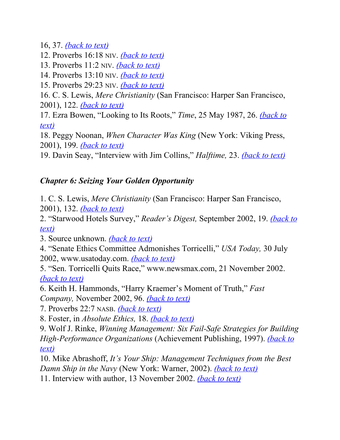16, 37. *[\(back](#page-48-1) to text)*

- 12. Proverbs 16:18 NIV. *[\(back](#page-49-0) to text)*
- 13. Proverbs 11:2 NIV. *[\(back](#page-49-1) to text)*

14. Proverbs 13:10 NIV. *[\(back](#page-49-2) to text)*

15. Proverbs 29:23 NIV. *[\(back](#page-50-0) to text)*

16. C. S. Lewis, *Mere Christianity* (San Francisco: Harper San Francisco, 2001), 122. *[\(back](#page-50-1) to text)*

17. Ezra Bowen, ["Looking](#page-50-2) to Its Roots," *Time*, 25 May 1987, 26. *(back to text)*

18. Peggy Noonan, *When Character Was King* (New York: Viking Press, 2001), 199. *[\(back](#page-51-0) to text)*

19. Davin Seay, "Interview with Jim Collins," *Halftime,* 23. *[\(back](#page-51-1) to text)*

# *Chapter 6: Seizing Your Golden Opportunity*

1. C. S. Lewis, *Mere Christianity* (San Francisco: Harper San Francisco, 2001), 132. *[\(back](#page-54-0) to text)*

2. ["Starwood](#page-55-0) Hotels Survey," *Reader's Digest,* September 2002, 19. *(back to text)*

3. Source unknown. *[\(back](#page-56-0) to text)*

4. "Senate Ethics Committee Admonishes Torricelli," *USA Today,* 30 July 2002, www.usatoday.com. *[\(back](#page-57-0) to text)*

5. "Sen. Torricelli Quits Race," www.newsmax.com, 21 November 2002. *[\(back](#page-57-1) to text)*

6. Keith H. Hammonds, "Harry Kraemer's Moment of Truth," *Fast Company,* November 2002, 96. *[\(back](#page-58-0) to text)*

7. Proverbs 22:7 NASB. *[\(back](#page-59-0) to text)*

8. Foster, in *Absolute Ethics,* 18. *[\(back](#page-60-0) to text)*

9. Wolf J. Rinke, *Winning Management: Six Fail-Safe Strategies for Building [High-Performance](#page-60-1) Organizations* (Achievement Publishing, 1997). *(back to text)*

10. Mike Abrashoff, *It's Your Ship: Management Techniques from the Best Damn Ship in the Navy* (New York: Warner, 2002). *[\(back](#page-60-2) to text)*

11. Interview with author, 13 November 2002. *[\(back](#page-61-0) to text)*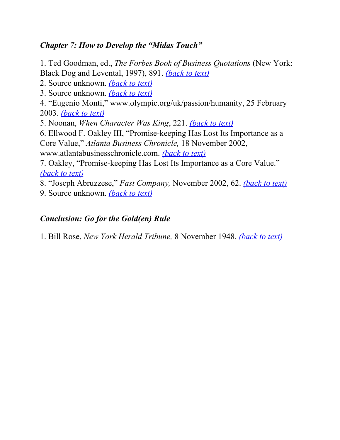#### *Chapter 7: How to Develop the "Midas Touch"*

1. Ted Goodman, ed., *The Forbes Book of Business Quotations* (New York: Black Dog and Levental, 1997), 891. *[\(back](#page-63-0) to text)*

2. Source unknown. *[\(back](#page-64-0) to text)*

3. Source unknown. *[\(back](#page-66-0) to text)*

4. "Eugenio Monti," www.olympic.org/uk/passion/humanity, 25 February 2003. *[\(back](#page-68-0) to text)*

5. Noonan, *When Character Was King*, 221. *[\(back](#page-69-0) to text)*

6. Ellwood F. Oakley III, "Promise-keeping Has Lost Its Importance as a Core Value," *Atlanta Business Chronicle,* 18 November 2002,

www.atlantabusinesschronicle.com. *[\(back](#page-69-1) to text)*

7. Oakley, "Promise-keeping Has Lost Its Importance as a Core Value." *[\(back](#page-69-2) to text)*

8. "Joseph Abruzzese," *Fast Company,* November 2002, 62. *[\(back](#page-69-3) to text)*

9. Source unknown. *[\(back](#page-71-0) to text)*

#### *Conclusion: Go for the Gold(en) Rule*

<span id="page-82-0"></span>1. Bill Rose, *New York Herald Tribune,* 8 November 1948. *[\(back](#page-74-0) to text)*